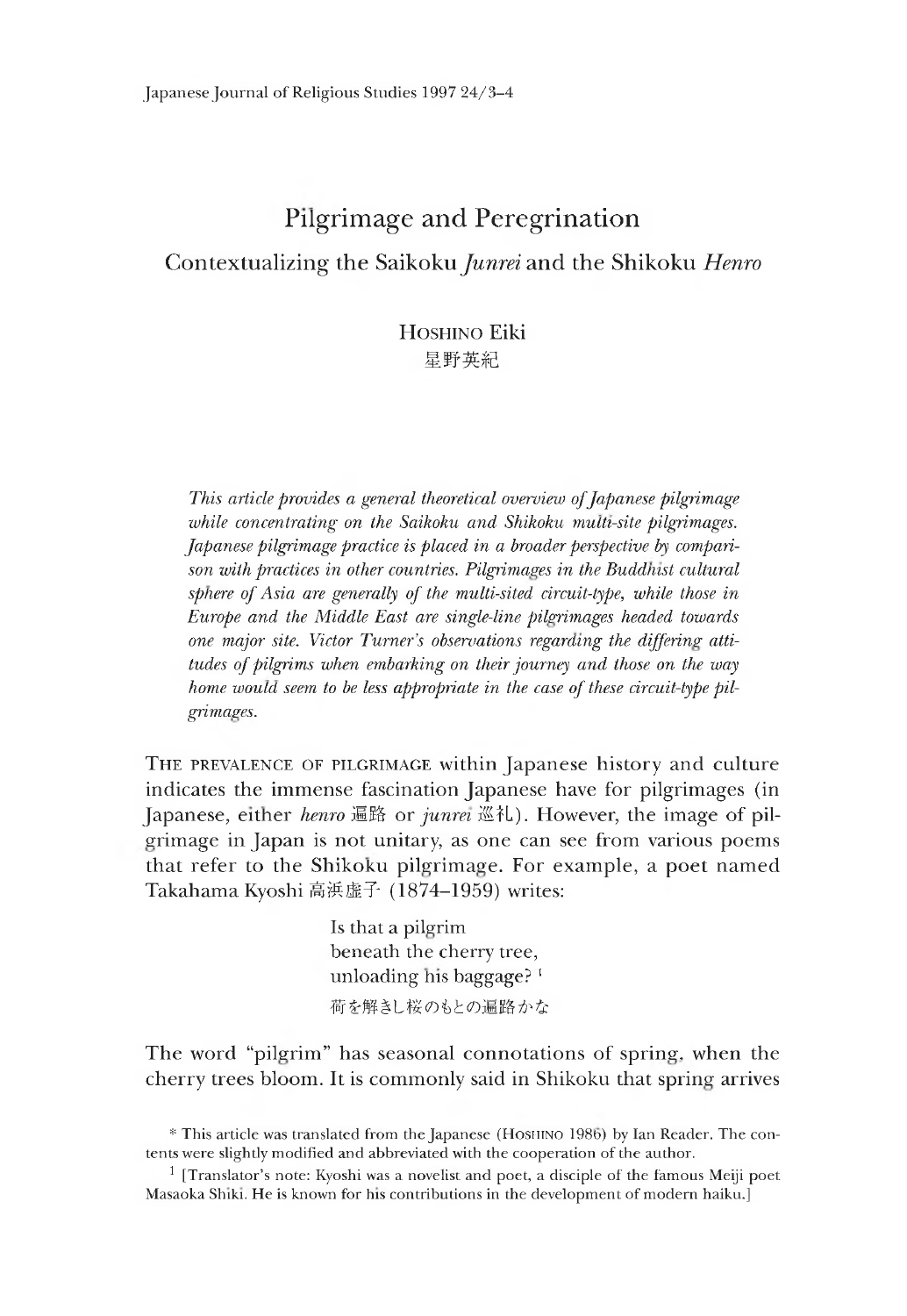# Pilgrimage and Peregrination **Contextualizing the Saikoku** *Junrei* **and the Shikoku** *Henro*

# HOSHINO Eiki 星野英紀

*This article provides a general theoretical overview of Japanese pilgrimage while concentrating on the Saikoku and Shikoku muiti-site pilgrimages. Japanese pilgrimage practice is placed in a broader perspective by comparison with practices in other countries. Pilgrimages in the Buddhist cultural sphere of Asia are generally of the multi-sited circuit-type, while those in Europe and the Middle East are single-line pilgrimages headed towards* one major site. Victor Turner's observations regarding the differing atti*tudes of pilgrims when embarking on their journey and those on the way home would seem to be less appropriate in the case of these circuit-type pil* $grimages.$ 

The prevalence of pilgrimage within Japanese history and culture indicates the immense fascination Japanese have for pilgrimages (in Japanese, either *henro* 遍路 or *junrei* 巡ネし). However, the image of pilgrimage in Japan is not unitary, as one can see from various poems that refer to the Shikoku pilgrimage. For example, a poet named Takahama Kyoshi 高浜虚子(1874-1959) writes:

> Is that a pilgrim beneath the cherry tree, unloading his baggage?<sup>1</sup> 荷を解きし桜のもとの遍路かな

The word "pilgrim" has seasonal connotations of spring, when the cherry trees bloom. It is commonly said in Shikoku that spring arrives

<sup>\*</sup> This article was translated from the Japanese (HOSHINO 1986) by Ian Reader. The contents were slightly modified and abbreviated with the cooperation of the author.

 $<sup>1</sup>$  [Translator's note: Kyoshi was a novelist and poet, a disciple of the famous Meiji poet</sup> Masaoka Shiki. He is known for his contributions in the development of modern haiku.]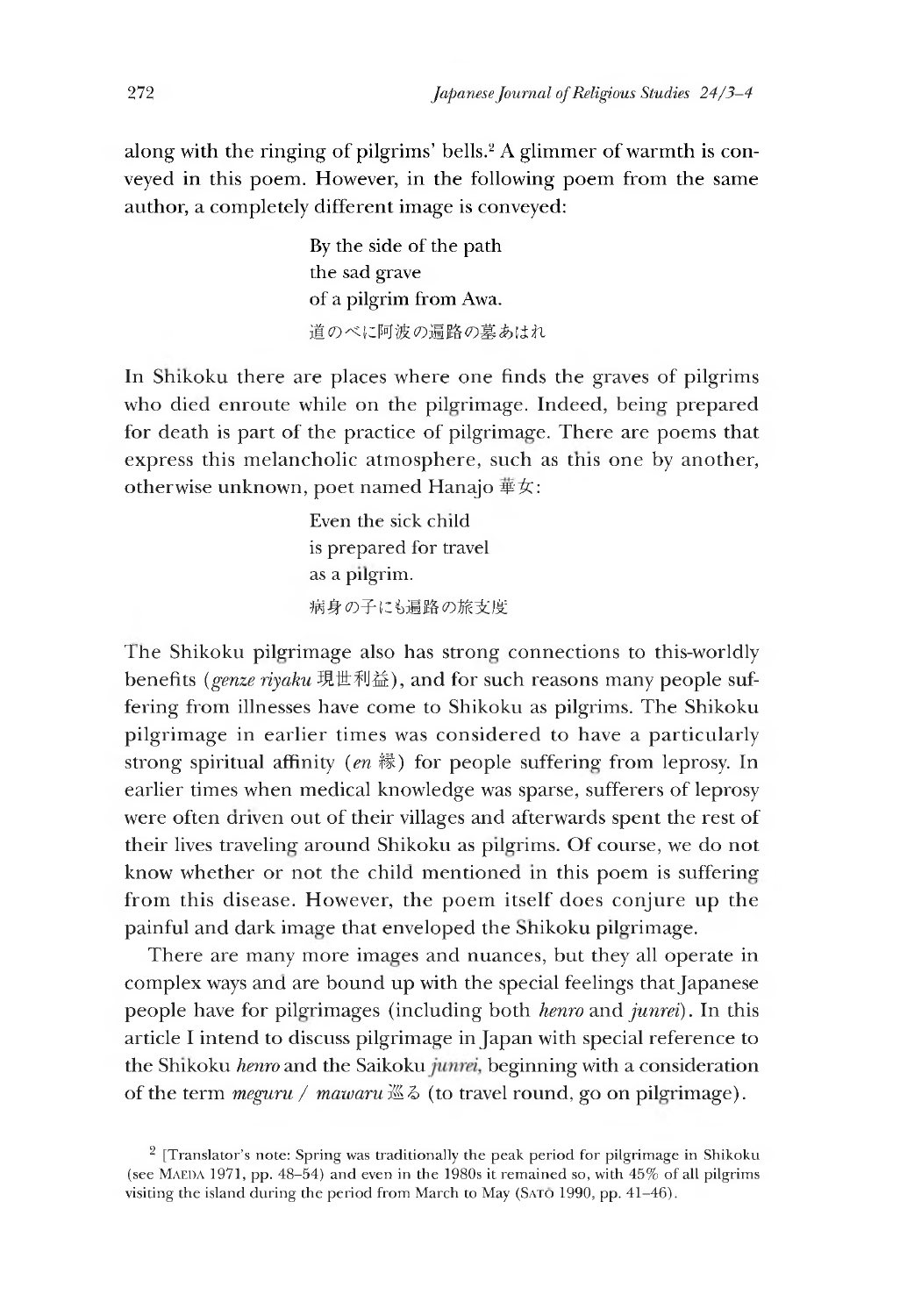along with the ringing of pilgrims' bells.<sup>2</sup> A glimmer of warmth is conveyed in this poem. However, in the following poem from the same author, a completely different image is conveyed:

> By the side of the path the sad grave of a pilgrim from Awa. 道のべに阿波の遍路の墓あはれ

In Snikoku there are places where one finds the graves of pilgrims who died enroute while on the pilgrimage. Indeed, being prepared for death is part of the practice of pilgrimage. There are poems that express this melancholic atmosphere, such as this one by another, otherwise unknown, poet named Hanajo 幸女:

> Even the sick child is prepared for travel as a pilgrim. 病身の子にも遍路の旅支度

The Shikoku pilgrimage also has strong connections to this-worldly benefits *(genze riyaku* 現世利益), and for such reasons many people suffering from illnesses have come to Shikoku as pilgrims. The Shikoku pilgrimage in earlier times was considered to have a particularly strong spiritual affinity *(en* 縁) for people suffering from leprosy. In earlier times when medical knowledge was sparse, sufferers of leprosy were often driven out of their villages and afterwards spent the rest of their lives traveling around Shikoku as pilerims. Of course, we do not know whether or not the child mentioned in this poem is suffering from this disease. However, the poem itself does conjure up the painful and dark image that enveloped the Shikoku pilgrimage.

There are many more images and nuances, but they all operate in complex ways and are bound up with the special feelings that Japanese people have for pilgrimages (including both *henro* and *junrei).* In this article I intend to discuss pilgrimage in Japan with special reference to the Shikoku *henro* and the Saikoku junrei, beginning with a consideration of the term *meguru / mawaru* 巡る (to travel round, go on pilgrimage).

<sup>&</sup>lt;sup>2</sup> [Translator's note: Spring was traditionally the peak period for pilgrimage in Shikoku (see MAEDA 1971, pp. 48-54) and even in the 1980s it remained so, with  $45\%$  of all pilgrims visiting the island during the period from March to May ( $SATO$  1990, pp. 41-46).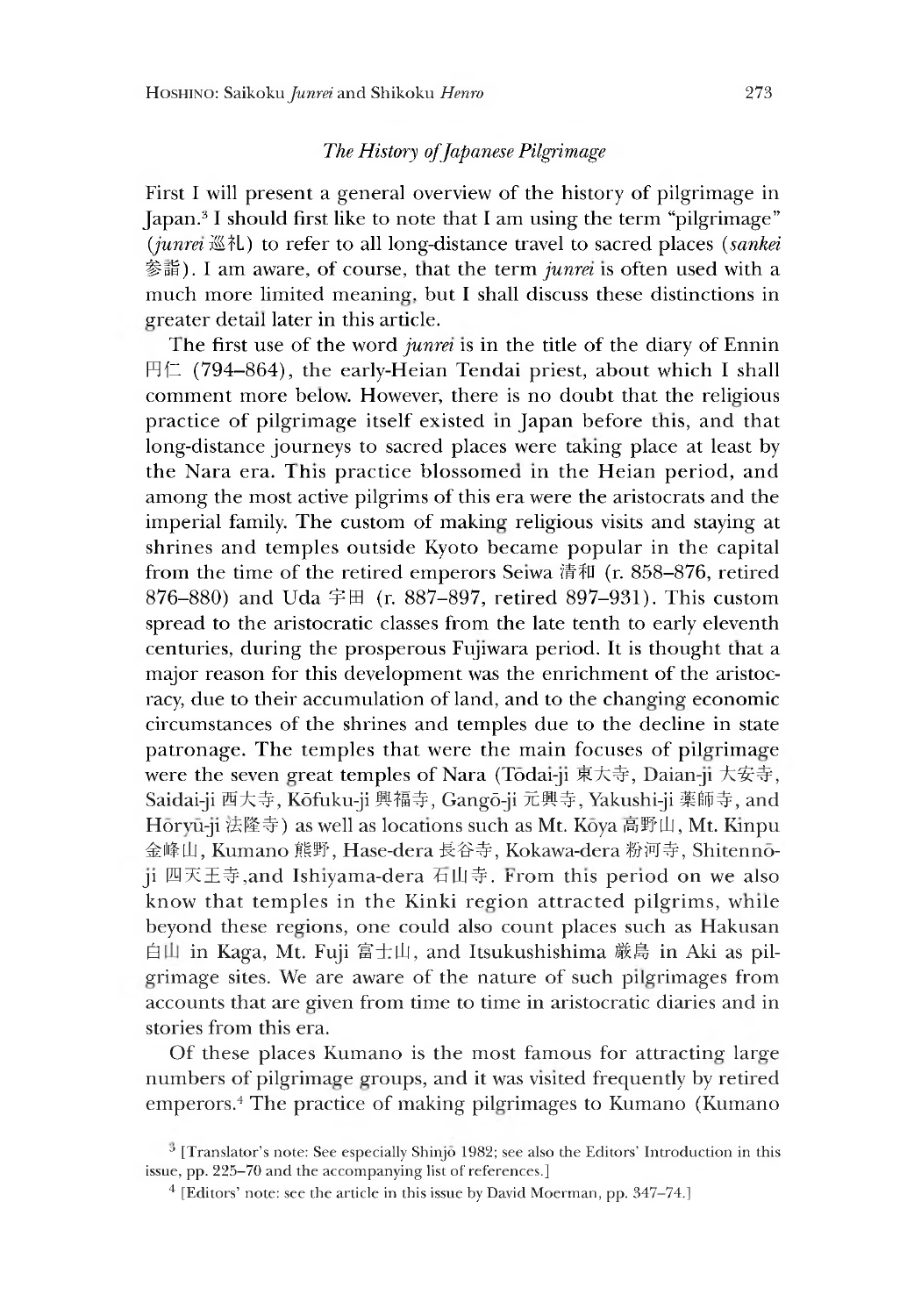### *The History of Japanese Pilgrimage*

First I will present a general overview of the history of pilgrimage in Japan.31 should first like to note that I am using the term "pilgrimage" (*junrei* 巡礼) to refer to all long-distance travel to sacred places *(sankei*) 参言旨) . I am aware, of course, that the term *junrei* is often used with a much more limited meaning, but I shall discuss these distinctions in greater detail later in this article.

1 he first use of the word *junrei* is in the title of the diary of Ennin 円仁 (794-864), the early-Heian Tendai priest, about which I shall comment more below. However, there is no doubt that the religious practice of pilgrimage itself existed in Japan before this, and that long-distance journeys to sacred places were taking place at least by the Nara era. This practice blossomed in the Heian period, and among the most active pilgrims of this era were the aristocrats and the imperial family. The custom of making religious visits and staying at shrines and temples outside Kyoto became popular in the capital from the time of the retired emperors Seiwa 清和 (r. 858–876, retired 876-880) and Uda 宇田 (r. 887-897, retired 897-931). This custom spread to the aristocratic classes from the late tenth to early eleventh centuries, during the prosperous Fujiwara period. It is thought that a major reason for this development was the enrichment of the aristocracy, due to their accumulation of land, and to the changing economic circumstances of the shrines and temples due to the decline in state patronage. The temples that were the main focuses of pilgrimage were the seven great temples of Nara (Tōdai-ji 東大寺, Daian-ji 大安寺, Saidai-ji 西大寺,K6fuku-ji 興福寺,Gang6-ji 元興寺,Yakushi-ji 薬師寺,and Hōryū-ji 法隆寺) as well as locations such as Mt. Kōya 高野山, Mt. Kinpu 金峰山,Kumano 熊野,Hase-dera 長谷寺,Kokawa-dera 粉河寺,Shitennoji 四天王寺, and Ishiyama-dera 石山寺. From this period on we also know that temples in the Kinki region attracted pilgrims, while beyond these regions, one could also count places such as Hakusan 白山 in Kaga, Mt. Fuji 富士山, and Itsukushishima 厳島 in Aki as pilgrimage sites. We are aware of the nature of such pilgrimages from accounts that are given from time to time in aristocratic diaries and in stories from this era.

Of these places Kumano is the most famous for attracting laree numbers of pilgrimage groups, and it was visited frequently by retired emperors.4 The practice of making pilgrimages to Kumano (Kumano

 $<sup>3</sup>$  [Translator's note: See especially Shinjo 1982; see also the Editors' Introduction in this</sup> issue, pp. 225-70 and the accompanying list of references.]

<sup>4 [</sup>Editors' note: see the article in this issue by David Moerman, pp. 347-74.]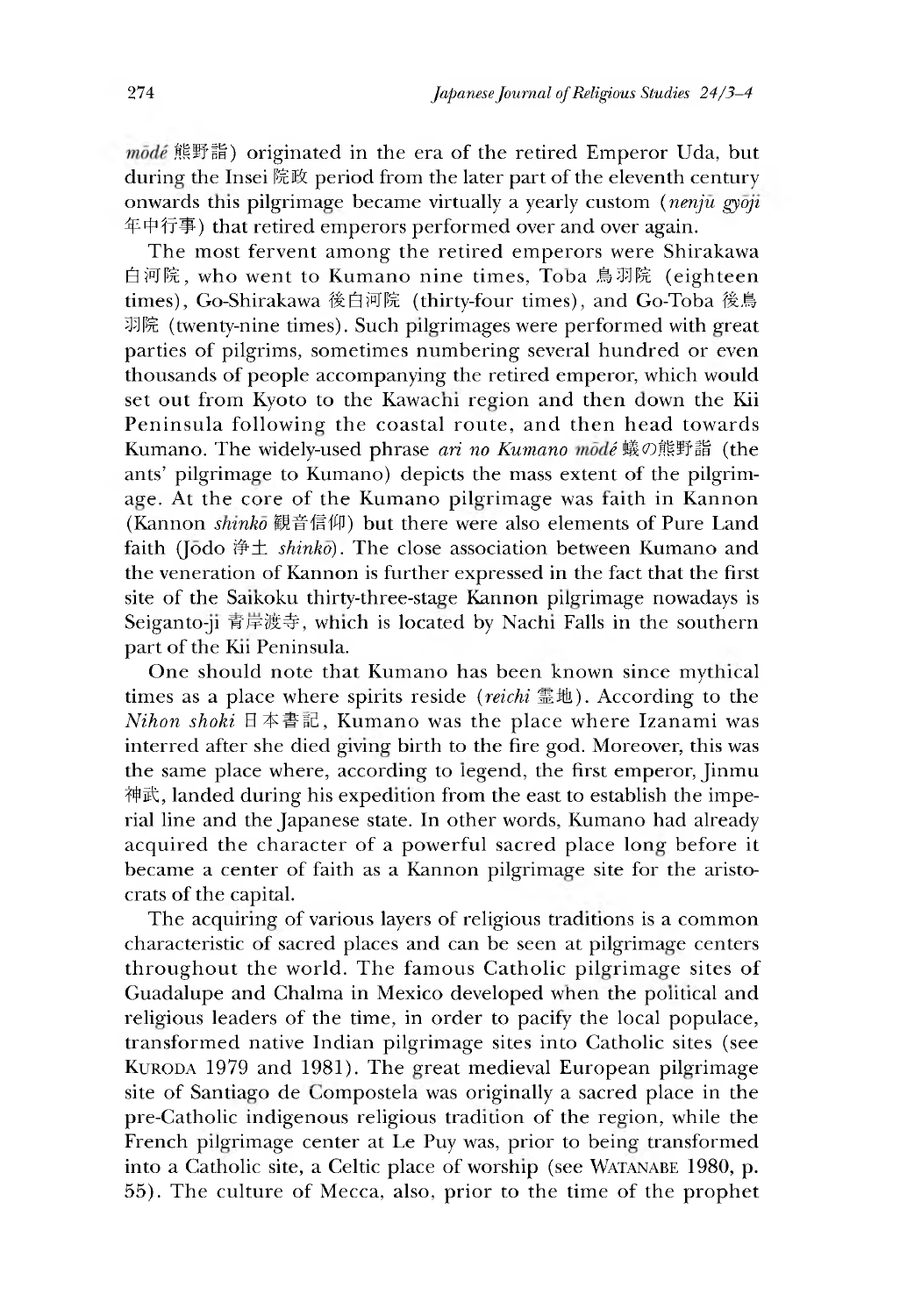$m\bar{\omega}d\acute{\epsilon}$  熊野詣) originated in the era of the retired Emperor Uda, but during the Insei 院政 period from the later part of the eleventh century onwards this pilgrimage became virtually a yearly custom *(nenju gyojt* 年中行事) that retired emperors performed over and over again.

The most fervent among the retired emperors were Shirakawa 白河院, who went to Kumano nine times, Toba 鳥羽院 (eighteen times), Go-Shirakawa 後白河院 (thirty-four times), and Go-Toba 後鳥 羽院 (twenty-nine times). Such pilgrimages were performed with great parties of pilgrims, sometimes numbering several hundred or even thousands of people accompanying the retired emperor, which would set out from Kyoto to the Kawachi region and then down the Kii Peninsula following the coastal route, and then head towards Kumano. The widely-used phrase ari no Kumano modé蟻の熊野詣 (the ants' pilgrimage to Kumano) depicts the mass extent of the pilgrimage. At the core of the Kumano pilgrimage was faith in Kannon (Kannon *smnko* 観音信仰) but there were also elements of Pure Land faith (Jodo 浄土 *shinko).* The close association between Kumano and the veneration of Kannon is further expressed in the fact that the first site of the Saikoku thirty-three-stage Kannon pilgrimage nowadays is Seiganto-ji青序渡寺,which is located by Nachi Falls in the southern part of the Kii Peninsula.

One should note that Kumano has been known since mythical times as a place where spirits reside *(reichi* 霊地) . According to the *Nihon shoki* 日本書言己,Kumano was the place where Izanami was interred after she died giving birth to the fire god. Moreover, this was the same place where, according to legend, the first emperor, Jinmu 神武, landed during his expedition from the east to establish the imperial line and the Japanese state. In other words, Kumano had already acquired the character of a powerful sacred place long before it became a center of faith as a Kannon pilgrimage site for the aristocrats of the capital.

The acquiring of various layers of religious traditions is a common characteristic of sacred places and can be seen at pilgrimage centers throughout the world. The famous Catholic pilgrimage sites of Guadalupe and Chalma in Mexico developed when the political and religious leaders of the time, in order to pacify the local populace, transformed native Indian pilgrimage sites into Catholic sites (see KURODA 1979 and 1981). The great medieval European pilgrimage site of Santiago de Compostela was originally a sacred place in the pre-Catholic indigenous religious tradition of the region, while the French pilgrimage center at Le Puy was, prior to being transformed into a Catholic site, a Celtic place of worship (see WATANABE 1980, p. 55). The culture of Mecca, also, prior to the time of the prophet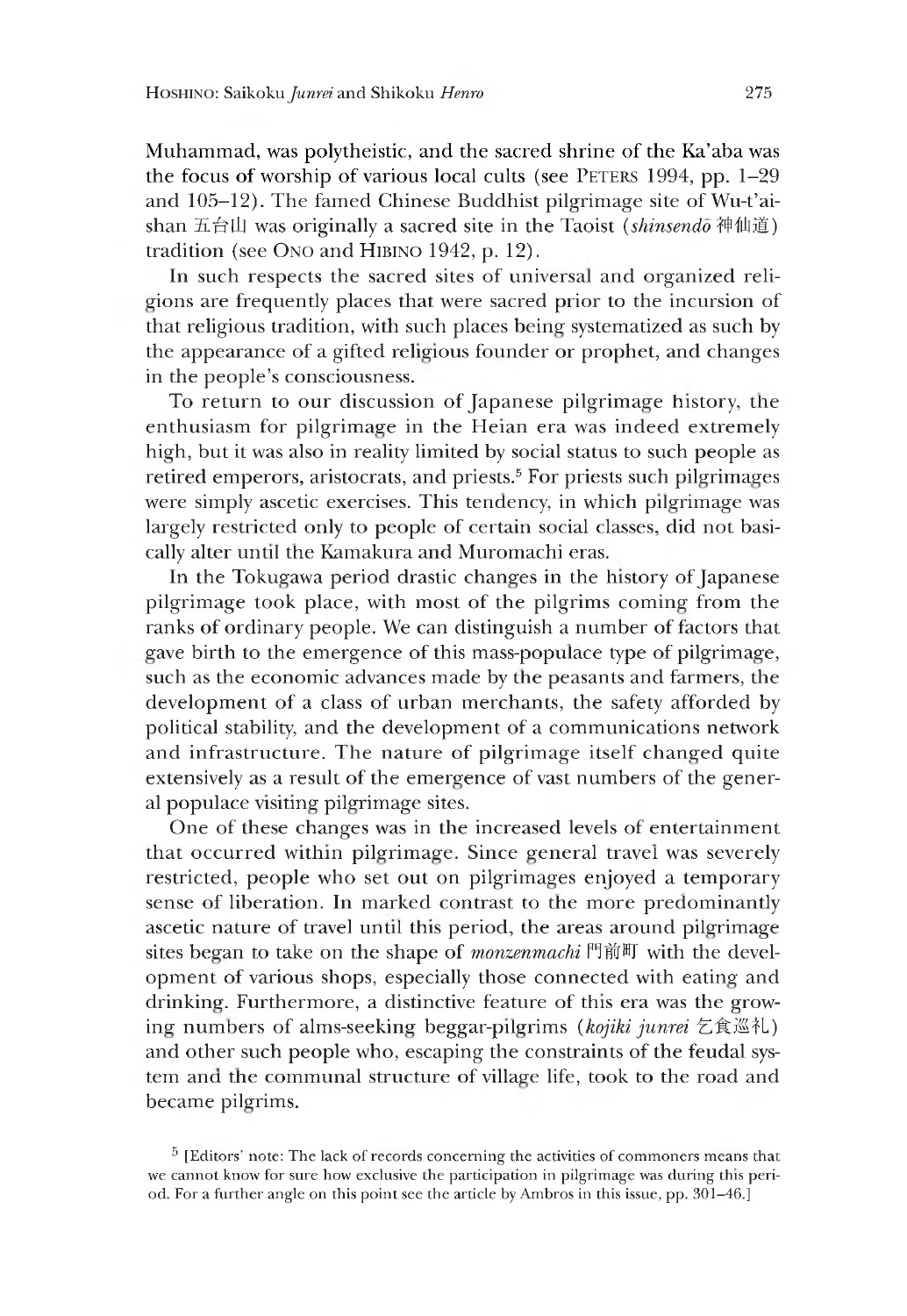Muhammad, was polytheistic, and the sacred shrine of the Ka'aba was the focus of worship of various local cults (see PETERS 1994, pp. 1-29 and 105-12). The famed Chinese Buddhist pilgrimage site of Wu-t'aishan 五台山 was originally a sacred site in the Taoist *(shinsendo* 神仙道) tradition (see ONO and HIBINO 1942, p. 12).

In such respects the sacred sites of universal and organized religions are frequently places that were sacred prior to the incursion of that religious tradition, with such places beine systematized as such by the appearance of a gifted religious founder or prophet, and changes in the people's consciousness.

To return to our discussion of Japanese pilgrimage history, the enthusiasm for pilgrimage in the Heian era was indeed extremely high, but it was also in reality limited by social status to such people as retired emperors, aristocrats, and priests.<sup>5</sup> For priests such pilgrimages were simply ascetic exercises. This tendency, in which pilgrimage was largely restricted only to people of certain social classes, did not basically alter until the Kamakura and Muromachi eras.

In the Tokugawa period drastic changes in the history of Japanese pilgrimage took place, with most of the pilgrims coming from the ranks of ordinary people. We can distinguish a number of factors that gave birth to the emergence of this mass-populace type of pilgrimage, such as the economic advances made by the peasants and farmers, the development of a class of urban merchants, the safety afforded by political stability, and the development of a communications network and infrastructure. The nature of pilgrimage itself changed quite extensively as a result of the emergence of vast numbers of the general populace visitme pilgrimage sites.

One of these changes was in the increased levels of entertainment that occurred within pilgrimage. Since general travel was severely restricted, people who set out on pilgrimages enjoyed a temporary sense of liberation. In marked contrast to the more predominantly ascetic nature of travel until this period, the areas around pilgrimage sites began to take on the shape of *monzenmachi* 門前町 with the development of various shops, especially those connected with eating and drinkine. Furthermore, a distinctive feature of this era was the growing numbers of alms-seeking beggar-pilerims (*kojiki junrei* 乞食巡ネし) and other such people who, escaping the constraints of the feudal system and the communal structure of village life, took to the road and became pilgrims.

<sup>&</sup>lt;sup>5</sup> [Editors' note: The lack of records concerning the activities of commoners means that we cannot know for sure how exclusive the participation in pilgrimage was during this period. For a further angle on this point see the article by Ambros in this issue, pp. 301-46.]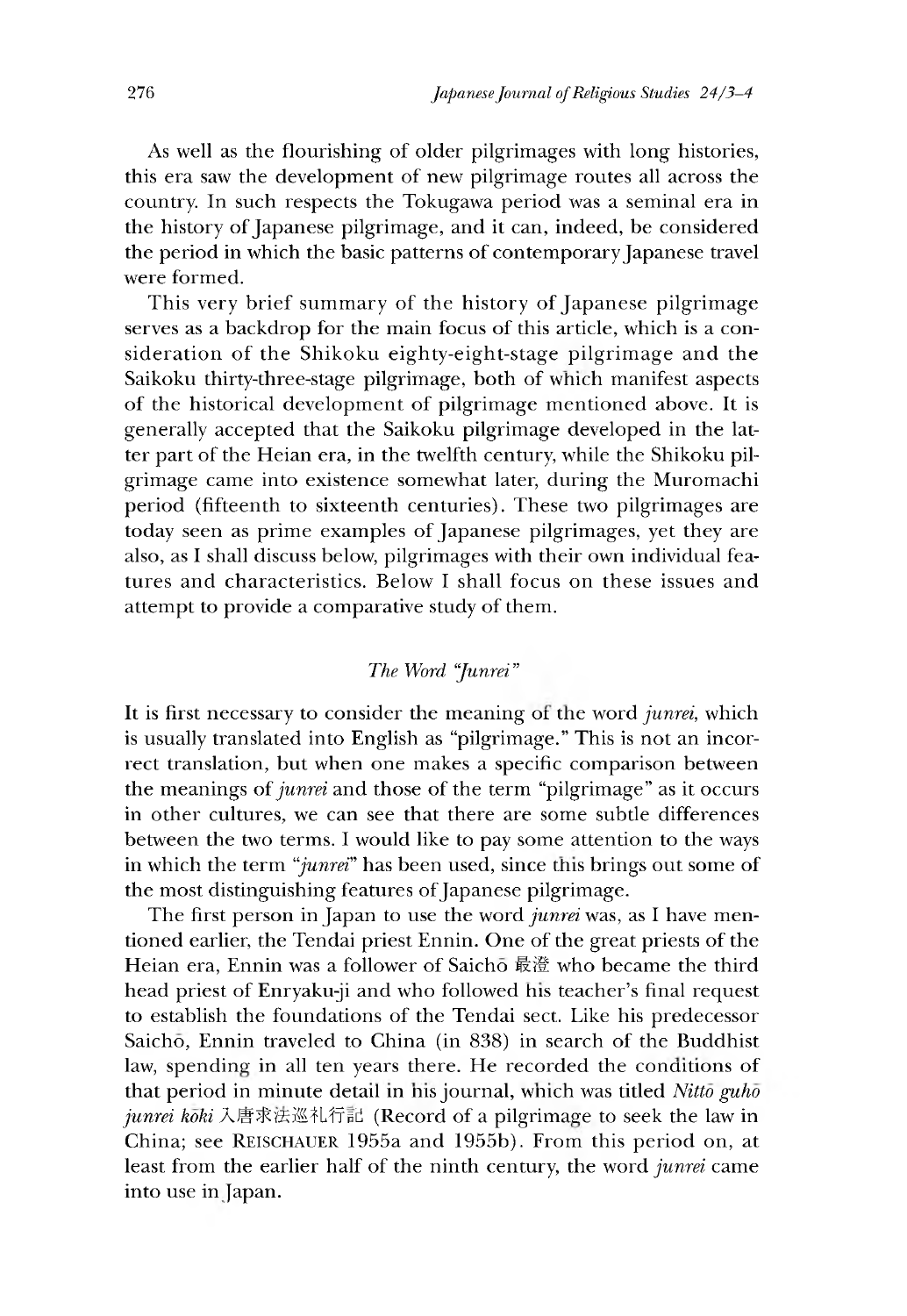As well as the flourishing of older pilgrimages with long histories, this era saw the development of new pilgrimage routes all across the country. In such respects the Tokugawa period was a seminal era in the history of Japanese pilgrimage, and it can, indeed, be considered the period in which the basic patterns of contemporary Japanese travel were formed.

This very brief summary of the history of Japanese pilgrimage serves as a backdrop for the main focus of this article, which is a consideration of the Shikoku eighty-eight-stage pilgrimage and the Saikoku thirty-three-stage pilgrimage, both of which manifest aspects of the historical development of pilgrimage mentioned above. It is generally accepted that the Saikoku pilgrimage developed in the latter part of the Heian era, in the twelfth century, while the Shikoku pilgrimage came into existence somewhat later, during the Muromachi period (fifteenth to sixteenth centuries). These two pilgrimages are today seen as prime examples of Japanese pilgrimages, yet they are also, as I shall discuss below, pilgrimages with their own individual features and characteristics. Below I shall focus on these issues and attempt to provide a comparative study of them.

## *The Word "Junrei"*

It is first necessary to consider the meaning of the word *junrei*, which is usually translated into English as "pilgrimage." This is not an incorrect translation, but when one makes a specific comparison between the meanings of *junrei* and those of the term "pilgrimage" as it occurs in other cultures, we can see that there are some subtle differences between the two terms. I would like to pay some attention to the ways in which the term *"junrei"* has been used, since this brings out some of the most distinguishing features of Japanese pilgrimage.

The first person in Japan to use the word *junrei* was, as I have mentioned earlier, the Tendai priest Ennin. One of the great priests of the Heian era, Ennin was a follower of Saichō 最澄 who became the third head priest of Enryaku-ji and who followed his teacher's final request to establish the foundations of the Tendai sect. Like his predecessor Saicho, Ennin traveled to China (in 838) in search of the Buddhist law, spending in all ten years there. He recorded the conditions of that period in minute detail in his journal, which was titled *Nitto guho*  $junrei$  koki 入唐求法巡礼行記 (Record of a pilgrimage to seek the law in China; see Reischauer 1955a and 1955b). From this period on, at least from the earlier half of the ninth century, the word *junrei* came into use in Japan.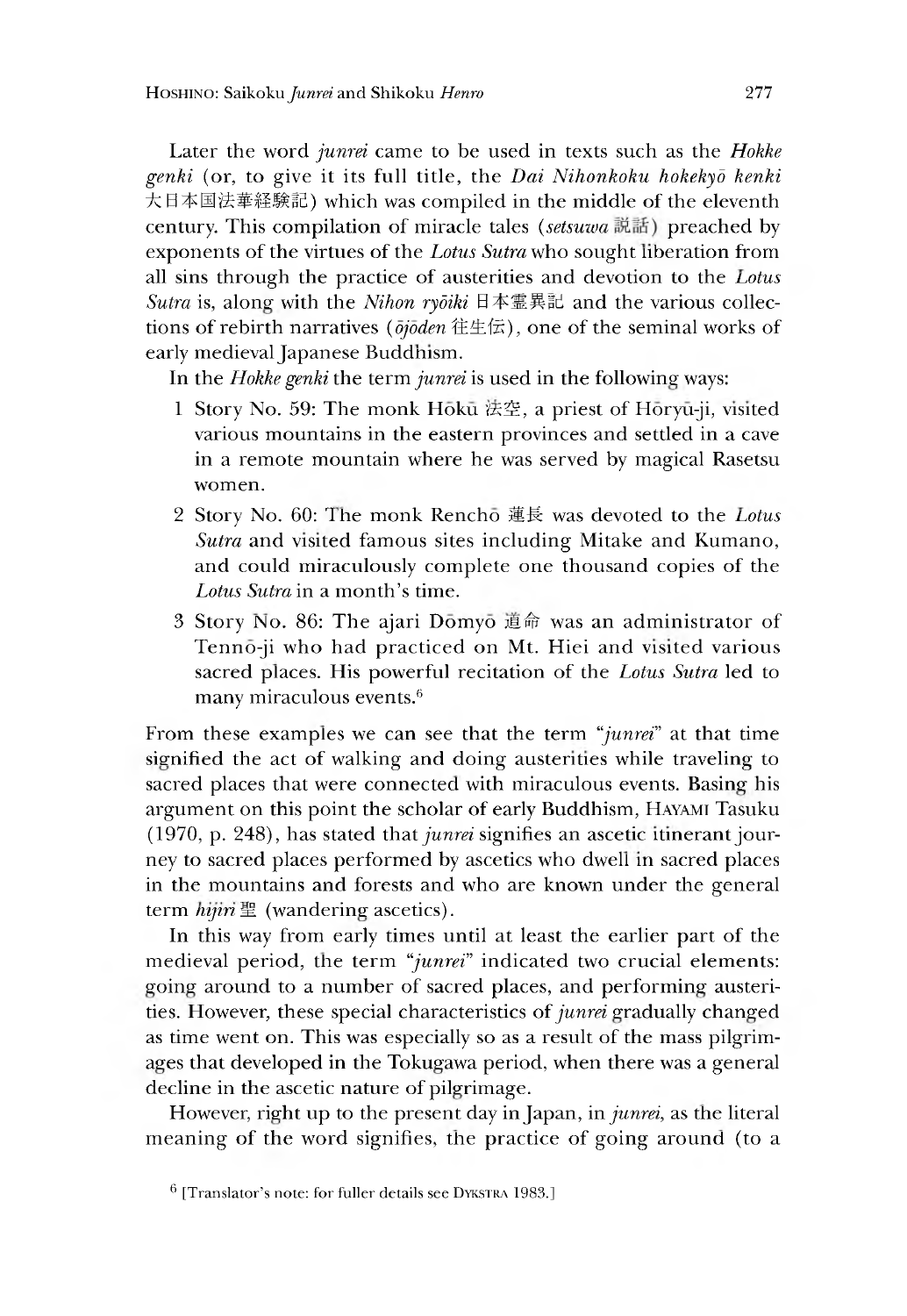Later the word *junrei* came to be used in texts such as the *Hokke genki* (or, to give it its full title, the *Dai Nihonkoku hokekyd kenki* 大日本国法華経験記)which was compiled in the middle of the eleventh century. This compilation of miracle tales *(setsuwa* 説話) preached by exponents of the virtues of the *Lotus Sutra* who sought liberation from all sins through the practice of austerities and devotion to the *Lotus Sutra* is, along with the *Nihon rydiki* 日本霊異記 and the various collections of rebirth narratives ( $\overline{\phi}$ *joden* 往生伝), one of the seminal works of early medieval Japanese Buddhism.

In the *Hokke genki* the term *junrei* is used in the following ways:

- 1 Story No. 59: The monk Hoku 法空,a priest of Horyu-ji, visited various mountains in the eastern provinces and settled in a cave in a remote mountain where he was served by magical Rasetsu women.
- 2 Story No. 60:Ihe monk Rencho 蓮長 was devoted to the *Lotus Sutra* and visited famous sites including Mitake and Kumano, and could miraculously complete one thousand copies of the *Lotus Sutra* in a month's time.
- 3 Story No. 86: The ajari Dōmyō 道命 was an administrator of Tenno-ji who had practiced on Mt. Hiei and visited various sacred places. His powerful recitation of the *Lotus Sutra* led to many miraculous events.<sup>6</sup>

From these examples we can see that the term *"junrei"* at that time signified the act of walking and doing austerities while traveling to sacred places that were connected with miraculous events. Basing his argument on this point the scholar of early Buddhism, Hayami Tasuku (1970, p. 248), has stated that *junrei* signifies an ascetic itinerant journey to sacred places performed by ascetics who dwell in sacred places in the mountains and forests and who are known under the general term *hijiri* 聖 (wandering ascetics).

In this way from early times until at least the earlier part of the medieval period, the term "junrei" indicated two crucial elements: eoing around to a number of sacred places, and performing austerities. However, these special characteristics of *junrei* gradually changed as time went on. This was especially so as a result of the mass pilgrimages that developed in the Tokugawa period, when there was a general decline in the ascetic nature of pilgrimage.

However, right up to the present day in Japan, in *junrei,* as the literal meaning of the word signifies, the practice of going around (to a

 $6$  [Translator's note: for fuller details see DYKSTRA 1983.]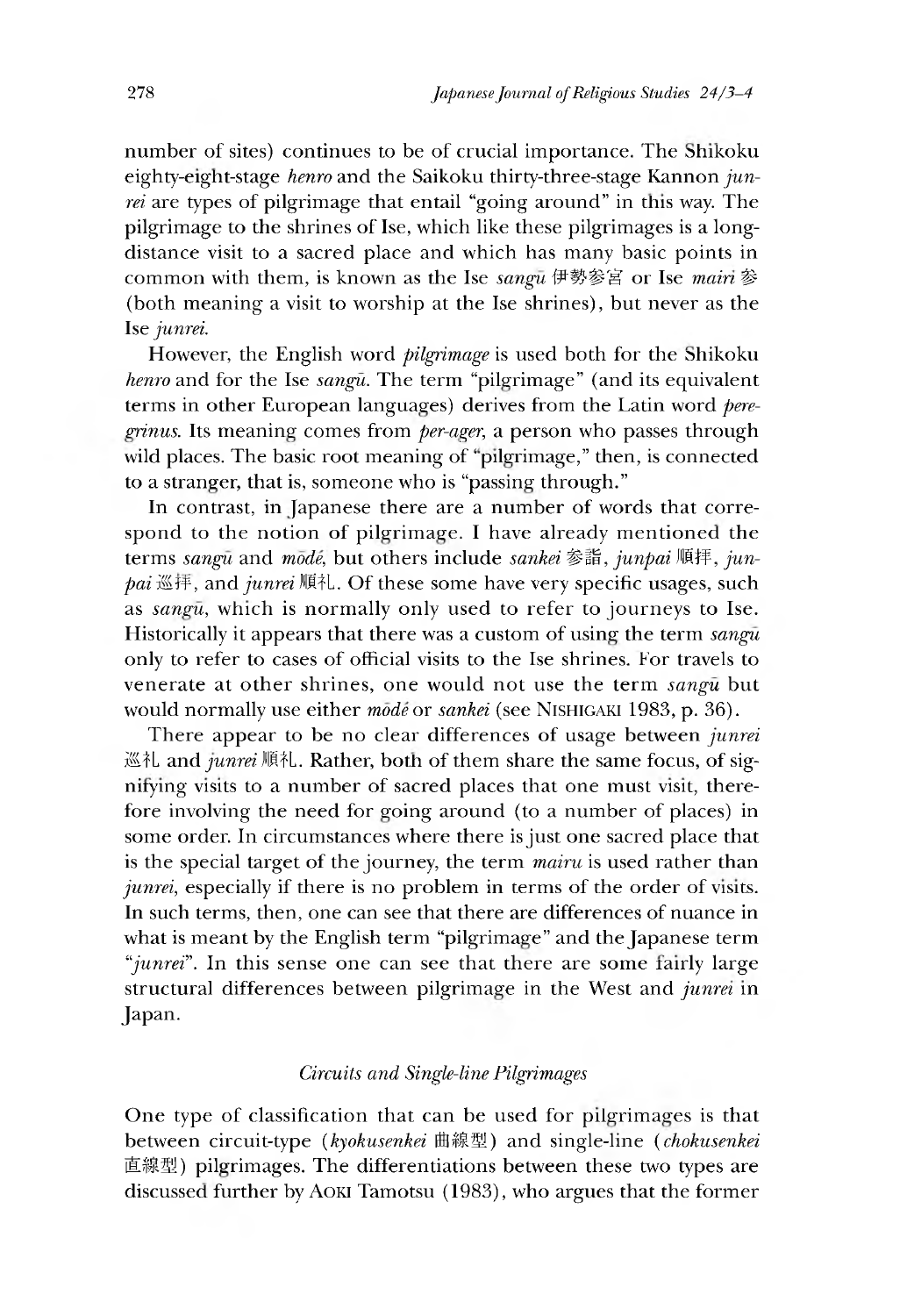number of sites) continues to be of crucial importance. The Shikoku eighty-eight-stage *henro* and the Saikoku thirty-three-stage Kannon *junrei* are types of pilgrimage that entail "going around" in this way. The pilgrimage to the shrines of Ise,which like these pilgrimages is a longdistance visit to a sacred place and which has many basic points in common with them, is known as the Ise *sangu 伊勢参宮* or Ise *main* 参 (both meaning a visit to worship at the Ise shrines), but never as the Ise *junrei.*

However, the English word *pilgrimage* is used both for the Shikoku *henro* and for the Ise *sangū*. The term "pilgrimage" (and its equivalent terms in other European languages) derives from the Latin word *peregrinus.* Its meaning comes from *per-ager,* a person who passes through wild places. The basic root meaning of "pilgrimage," then, is connected to a stranger, that is, someone who is "passing through."

In contrast, in Japanese there are a number of words that correspond to the notion of pilgrimage. I have already mentioned the terms *sangū* and *modé*, but others include *sankei* 参詣, junpai 順拝, junpai 巡拝, and *junrei* 順礼. Of these some have very specific usages, such as *sang'u,* which is normally only used to refer to journeys to Ise. Historically it appears that there was a custom of using the term *sangu* only to refer to cases of official visits to the Ise shrines. For travels to venerate at other shrines, one would not use the term *sangu* but would normally use either *mode* or *sankei* (see Nishigaki 1983 p. 36).

There appear to be no clear differences of usage between *junrei* 巡礼 and junrei順礼. Rather, both of them share the same focus, of signifying visits to a number of sacred places that one must visit, therefore involving the need for going around (to a number of places) in some order. In circumstances where there is just one sacred place that is the special target of the journey, the term *mairu* is used rather than *junrei*, especially if there is no problem in terms of the order of visits. In such terms, then, one can see that there are differences of nuance in what is meant by the English term "pilgrimage" and the Japanese term "*junrei*". In this sense one can see that there are some fairly large structural differences between pilgrimage in the West and *junrei* in Japan.

#### *Circuits and Single-line Pilgrimages*

One type of classification that can be used for pilgrimages is that between circuit-type *(kyokusenkei* 曲糸泉型)and single-line *(chokusenkei* 直線型) pilgrimages. The differentiations between these two types are discussed further by AOKI Tamotsu (1983), who argues that the former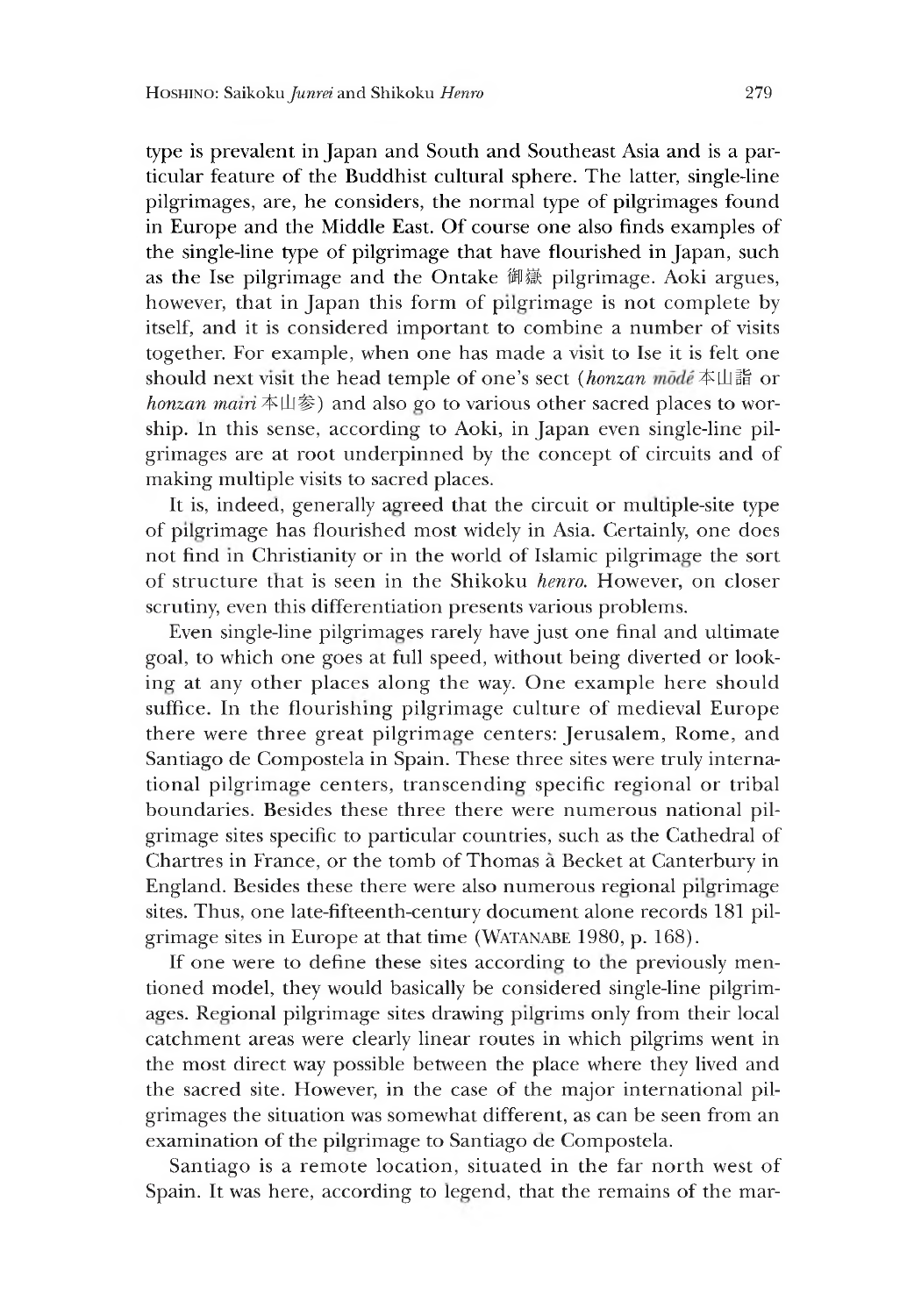type is prevalent in Japan and South and Southeast Asia and is a particular feature of the Buddhist cultural sphere. The latter, single-line pilgrimages, are, he considers, the normal type of pilgrimages found in Europe and the Middle East. Of course one also finds examples of the single-line type of pilgrimage that have flourished in Japan, such as the Ise pilgrimage and the On take 御嶽 pilgrimage. Aoki argues, however, that in Japan this form of pilgrimage is not complete by itself, and it is considered important to combine a number of visits together. For example, when one has made a visit to Ise it is felt one should next visit the head temple of one's sect (honzan mode 本山詣 or *honzan main* 本山参) and also go to various other sacred places to worship. In this sense, according to Aoki, in Japan even single-line pilgrimages are at root underpinned by the concept of circuits and of making multiple visits to sacred places.

It is, indeed, generally agreed that the circuit or multiple-site type of pilgrimage has flourished most widely in Asia. Certainly, one does not find m Christianity or in the world of Islamic pilgrimage the sort of structure that is seen in the Shikoku *henro.* However, on closer scrutiny, even this differentiation presents various problems.

Even single-line pilgrimages rarely have just one final and ultimate goal, to which one goes at full speed, without being diverted or looking at any other places along the way. One example here should suffice. In the flourishing pilgrimage culture of medieval Europe there were three great pilgrimage centers: Jerusalem, Rome, and Santiago de Compostela in Spain. These three sites were truly international pilgrimage centers, transcending specific regional or tribal boundaries. Besides these three there were numerous national pilgrimage sites specific to particular countries, such as the Cathedral of Chartres in France, or the tomb of Thomas a Becket at Canterbury in England. Besides these there were also numerous regional pilgrimage sites. Thus, one late-fifteenth-century document alone records 181 pilgrimage sites in Europe at that time (WATANABE 1980, p. 168).

If one were to define these sites according to the previously mentioned model, they would basically be considered single-line pilgrimages. Regional pilgrimage sites drawing pilgrims only from their local catchment areas were clearly linear routes in which pilgrims went in the most direct way possible between the place where they lived and the sacred site. However, in the case of the major international pilgrimages the situation was somewhat different, as can be seen from an examination of the pilgrimage to Santiago de Compostela.

Santiago is a remote location, situated in the far north west of Spain. It was here, according to legend, that the remains of the mar-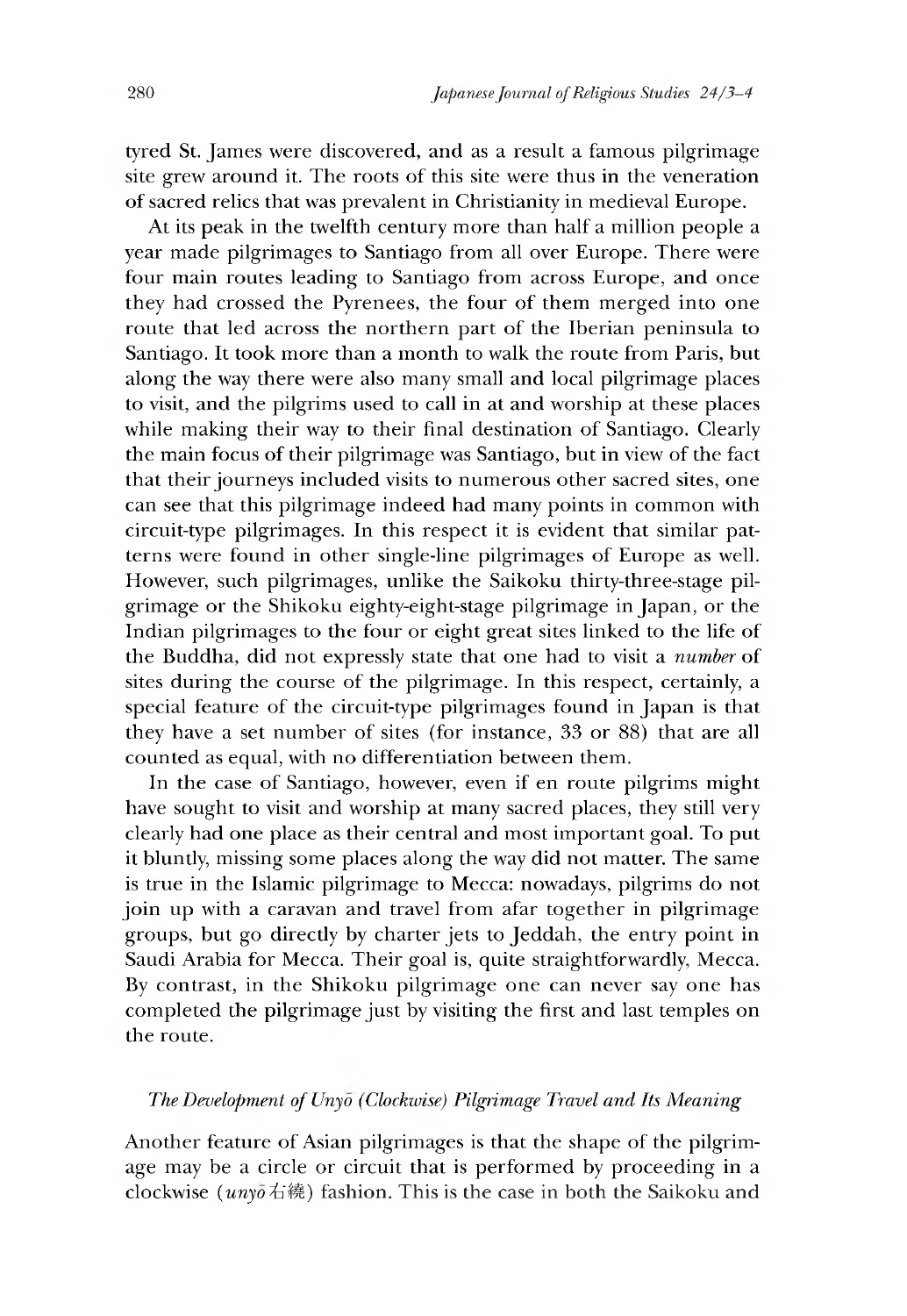tyred St. James were discovered, and as a result a famous pilgrimage site grew around it. The roots of this site were thus in the veneration of sacred relics that was prevalent in Christianity in medieval Europe.

At its peak in the twelfth century more than half a million people a year made pilgrimages to Santiago from all over Europe. There were four main routes leading to Santiago from across Europe, and once they had crossed the Pyrenees, the four of them merged into one route that led across the northern part of the Iberian peninsula to Santiago. It took more than a month to walk the route from Paris, but along the way there were also many small and local pilgrimage places to visit, and the pilgrims used to call in at and worship at these places while making their way to their final destination of Santiago. Clearly the main focus of their pilgrimage was Santiago, but in view of the fact that their journeys included visits to numerous other sacred sites, one can see that this pilgrimage indeed had many points in common with circuit-type pilgrimages. In this respect it is evident that similar patterns were found in other single-line pilgrimages of Europe as well. However, such pilgrimages, unlike the Saikoku thirty-three-stage pilgrimage or the Shikoku eighty-eight-stage pilgrimage in Japan, or the Indian pilgrimages to the four or eight great sites linked to the life of the Buddha, did not expressly state that one had to visit a *number* of sites during the course of the pilgrimage. In this respect, certainly, a special feature of the circuit-type pilgrimages found in Japan is that they have a set number of sites (for instance, 33 or 88) that are all counted as equal, with no differentiation between them.

In the case of Santiago, however, even if en route pilgrims might have sought to visit and worship at many sacred places, they still very clearly had one place as their central and most important goal. To put it bluntly, missing some places along the way did not matter. The same is true in the Islamic pilgrimage to Mecca: nowadays, pilgrims do not join up with a caravan and travel from afar together in pilgrimage groups, but go directly by charter jets to Jeddah, the entry point in Saudi Arabia for Mecca. Their goal is, quite straightforwardly, Mecca. By contrast, in the Shikoku pilgrimage one can never say one has completed the pilgrimage just by visiting the first and last temples on the route.

# *The Development of Unyo (Clockwise) Pilgrimage Travel and Its Meaning*

Another feature of Asian pilgrimages is that the shape of the pilgrimage may be a circle or circuit that is performed by proceeding in a clockwise *(unyo^^)* fashion. This is the case in both the Saikoku and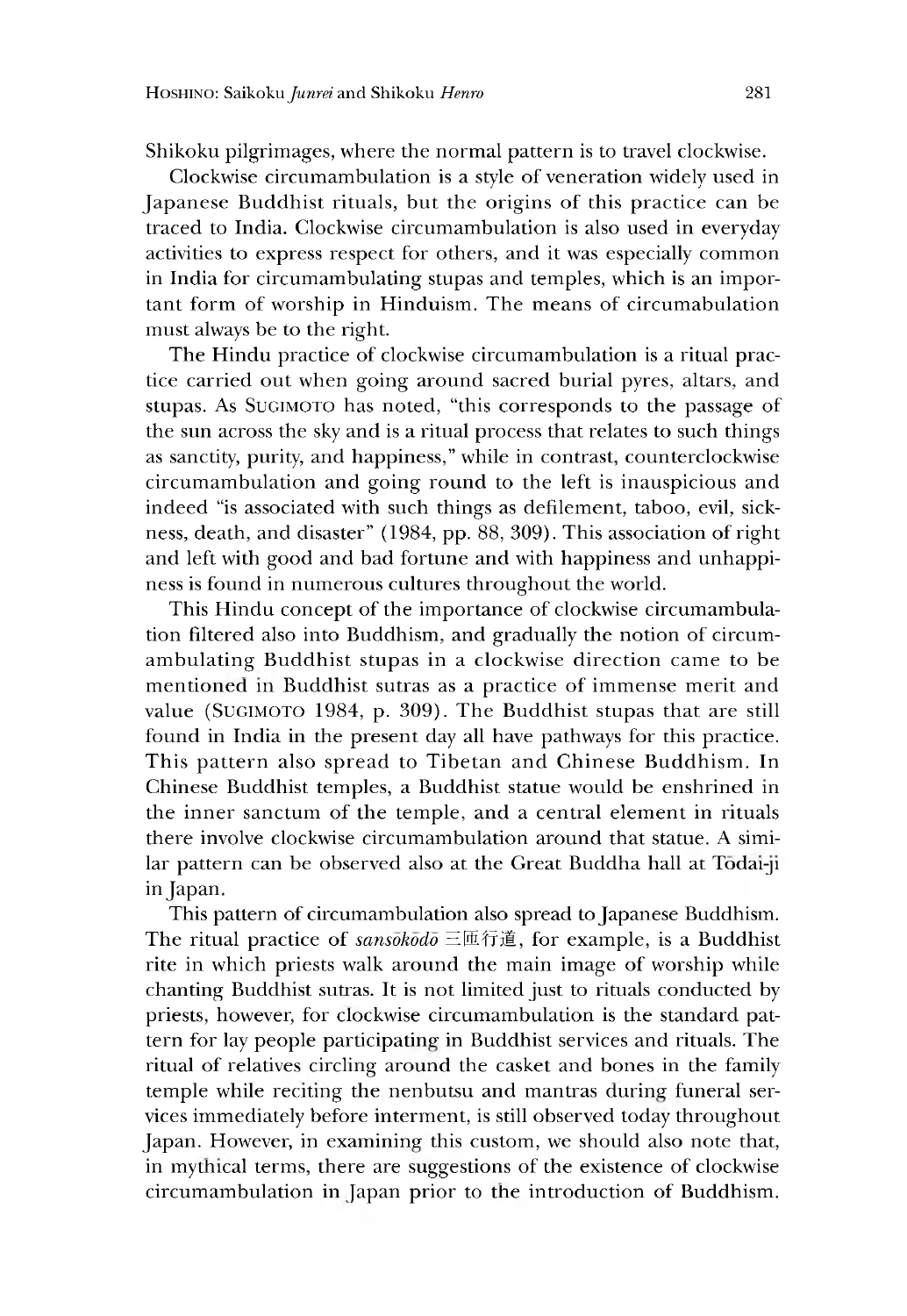Shikoku pilgrimages, where the normal pattern is to travel clockwise.

Clockwise circumambulation is a style of veneration widely used in Japanese Buddhist rituals, but the origins of this practice can be traced to India. Clockwise circumambulation is also used in everyday activities to express respect for others, and it was especially common in India for circumambulating stupas and temples, which is an important form of worship in Hinduism. The means of circumabulation must always be to the right.

The Hindu practice of clockwise circumambulation is a ritual practice carried out when going around sacred burial pyres, altars, and stupas. As SUGIMOTO has noted, "this corresponds to the passage of the sun across the sky and is a ritual process that relates to such things as sanctity, purity, and happiness," while in contrast, counterclockwise circumambulation and going round to the left is inauspicious and indeed "is associated with such things as defilement, taboo, evil, sickness, death, and disaster" (1984, pp. 88, 309). This association of right and left with good and bad fortune and with happiness and unhappiness is found in numerous cultures throughout the world.

This Hindu concept of the importance of clockwise circumambulation filtered also into Buddhism, and gradually the notion of circumambulating Buddhist stupas in a clockwise direction came to be mentioned in Buddhist sutras as a practice of immense merit and value (SUGIMOTO 1984, p. 309). The Buddhist stupas that are still found in India in the present day all have pathways for this practice. This pattern also spread to Tibetan and Chinese Buddhism. In Chinese Buddhist temples, a Buddhist statue would be enshrined in the inner sanctum of the temple, and a central element in rituals there involve clockwise circumambulation around that statue. A similar pattern can be observed also at the Great Buddha hall at Todai-ji in Japan.

This pattern of circumambulation also spread to Japanese Buddhism. The ritual practice of *sansokodo* 三匝行道, for example, is a Buddhist rite in which priests walk around the main image of worship while chanting Buddhist sutras. It is not limited just to rituals conducted by priests, however, for clockwise circumambulation is the standard pattern for lay people participating in Buddhist services and rituals. The ritual of relatives circling around the casket and bones in the family temple while reciting the nenbutsu and mantras during funeral services immediately before interment, is still observed today throughout Japan. However, in examining this custom, we should also note that, in mythical terms, there are suggestions of the existence of clockwise circumambulation in Japan prior to the introduction of Buddhism.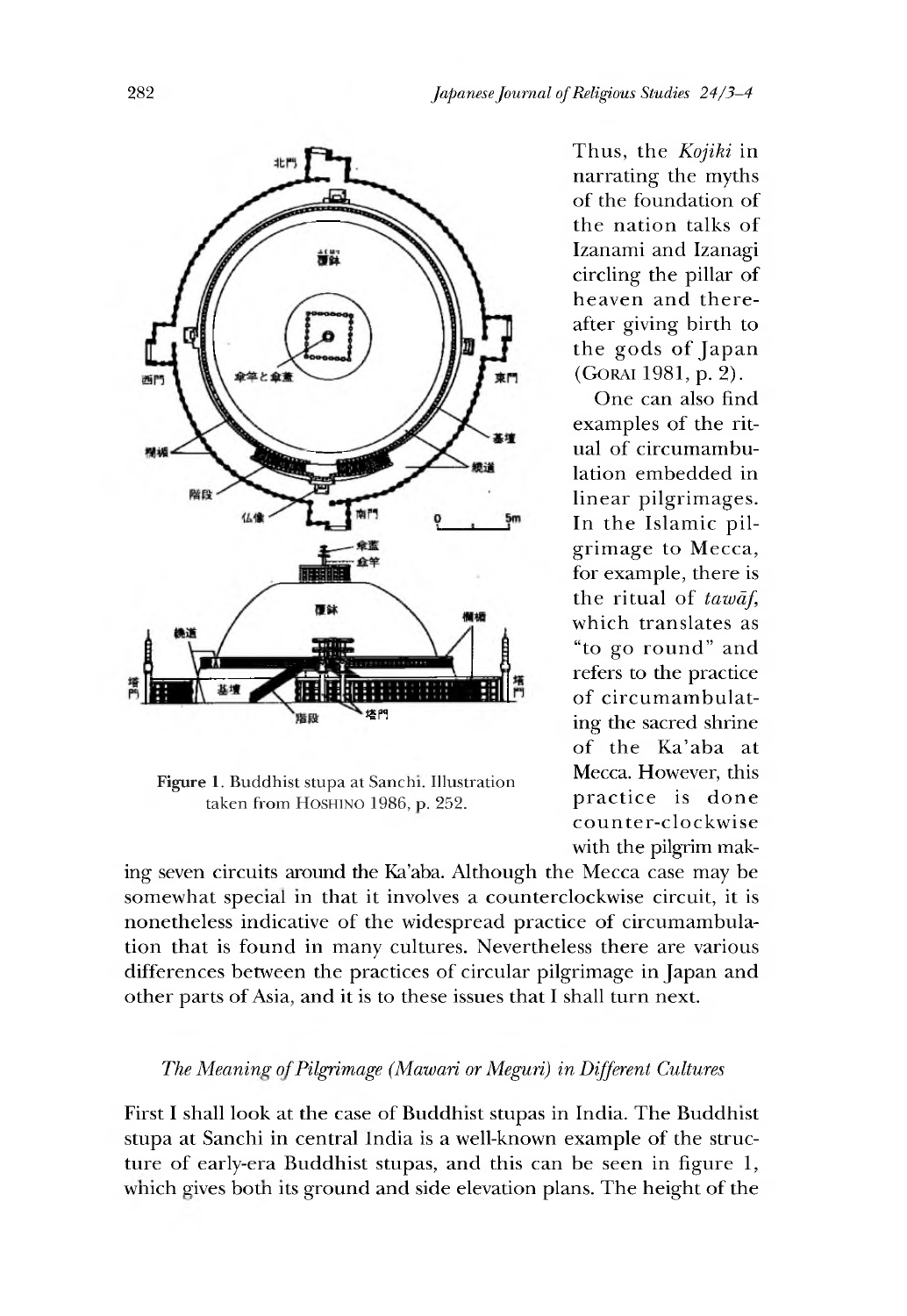

Figure 1. Buddhist stupa at Sanchi. Illustration taken from HOSHINO 1986, p. 252.

Thus, the *Kojiki* in narrating the myths of the foundation of the nation talks of Izanami and Izanagi circling the pillar of heaven and thereafter giving birth to the gods of Japan (GORAI 1981, p. 2).

One can also find examples of the ritual of circumambulation embedded in linear pilgrimages. In the Islamic pilgrimage to Mecca, for example, there is the ritual of *tawdf,* which translates as "to go round" and refers to the practice of circum am bulating the sacred shrine of the Ka'aba at Mecca. However, this practice is done counter-clockwise with the pilgrim mak-

ing seven circuits around the Ka'aba. Although the Mecca case may be somewhat special in that it involves a counterclockwise circuit, it is nonetheless indicative of the widespread practice of circumambulation that is found in many cultures. Nevertheless there are various differences between the practices of circular pilgrimage in Japan and other parts of Asia, and it is to these issues that I shall turn next.

# *The Meaning of Pilgrimage (Mawari or Meguri) in Different Cultures*

First I shall look at the case of Buddhist stupas in India. The Buddhist stupa at Sanchi in central India is a well-known example of the structure of early-era Buddhist stupas, and this can be seen in figure 1, which gives both its ground and side elevation plans. The height of the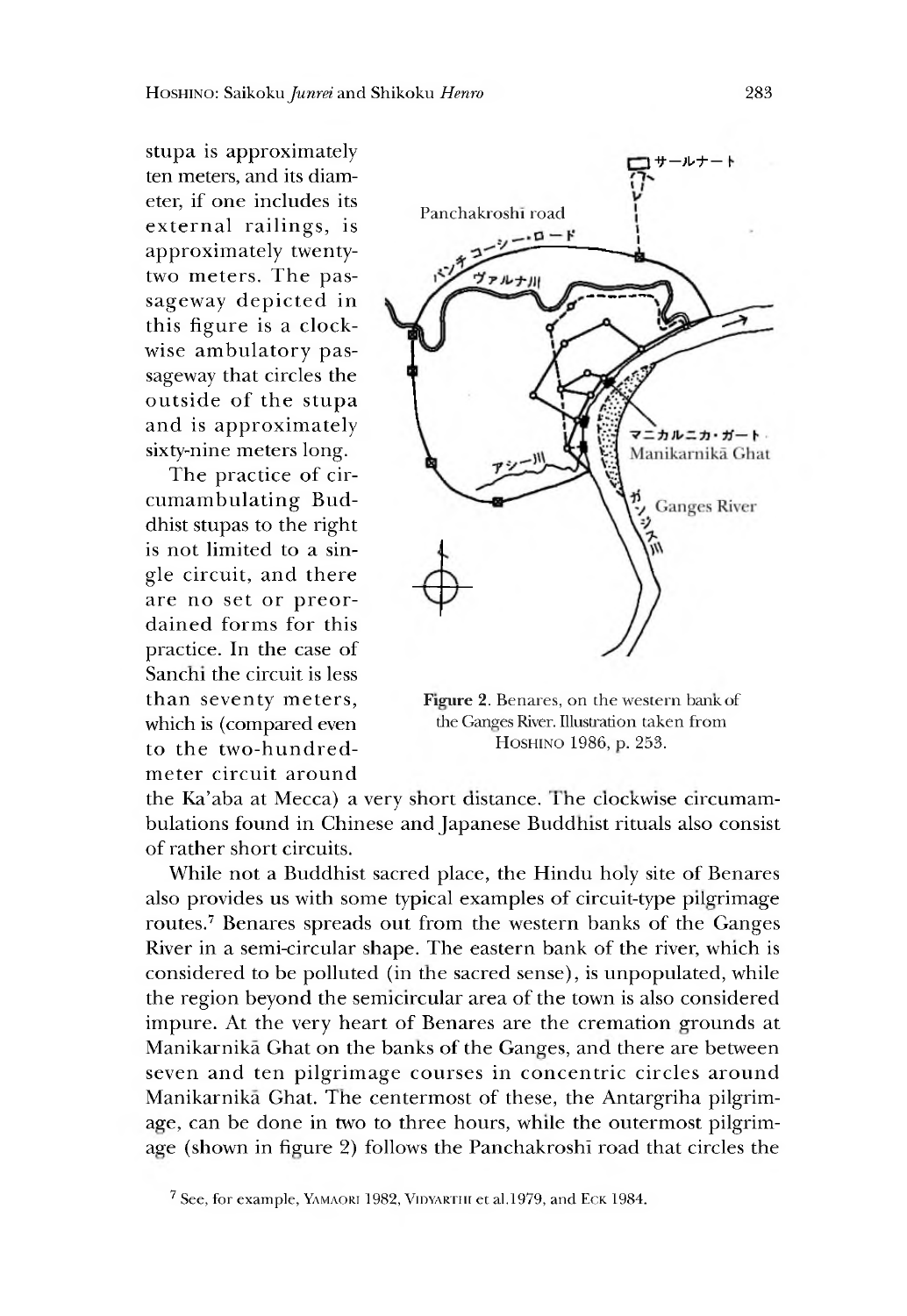stupa is approximately ten meters, and its diameter, if one includes its external railings, is approximately twentytwo meters. The passageway depicted in this figure is a clockwise ambulatory passageway that circles the outside of the stupa and is approximately sixty-nine meters long.

The practice of circumambulating Buddhist stupas to the right is not limited to a single circuit, and there are no set or preordained forms for this practice. In the case of Sanchi the circuit is less than seventy meters, which is (compared even to the two-hundredmeter circuit around



Figure 2. Benares, on the western bank of **the Ganges River. Illustration taken from** Hoshino 1986, p. 253.

the Ka'aba at Mecca) a very short distance. The clockwise circumambulations found in Chinese and Japanese Buddhist rituals also consist of rather short circuits.

While not a Buddhist sacred place, the Hindu holy site of Benares also provides us with some typical examples of circuit-type pilgrimage routes.7 Benares spreads out from the western banks of the Ganges River in a semi-circular shape. The eastern bank of the river, which is considered to be polluted (in the sacred sense), is unpopulated, while the region beyond the semicircular area of the town is also considered impure. At the very heart of Benares are the cremation grounds at Manikarnika Ghat on the banks of the Ganges, and there are between seven and ten pilgrimage courses in concentric circles around Manikarnika Ghat. Ihe centermost of these, the Antargriha pilgrimage, can be done in two to three hours, while the outermost pilgrimage (shown in figure 2) follows the Panchakroshi road that circles the

 $7$  See, for example, YAMAORI 1982, VIDYARTHI et al.1979, and ECK 1984.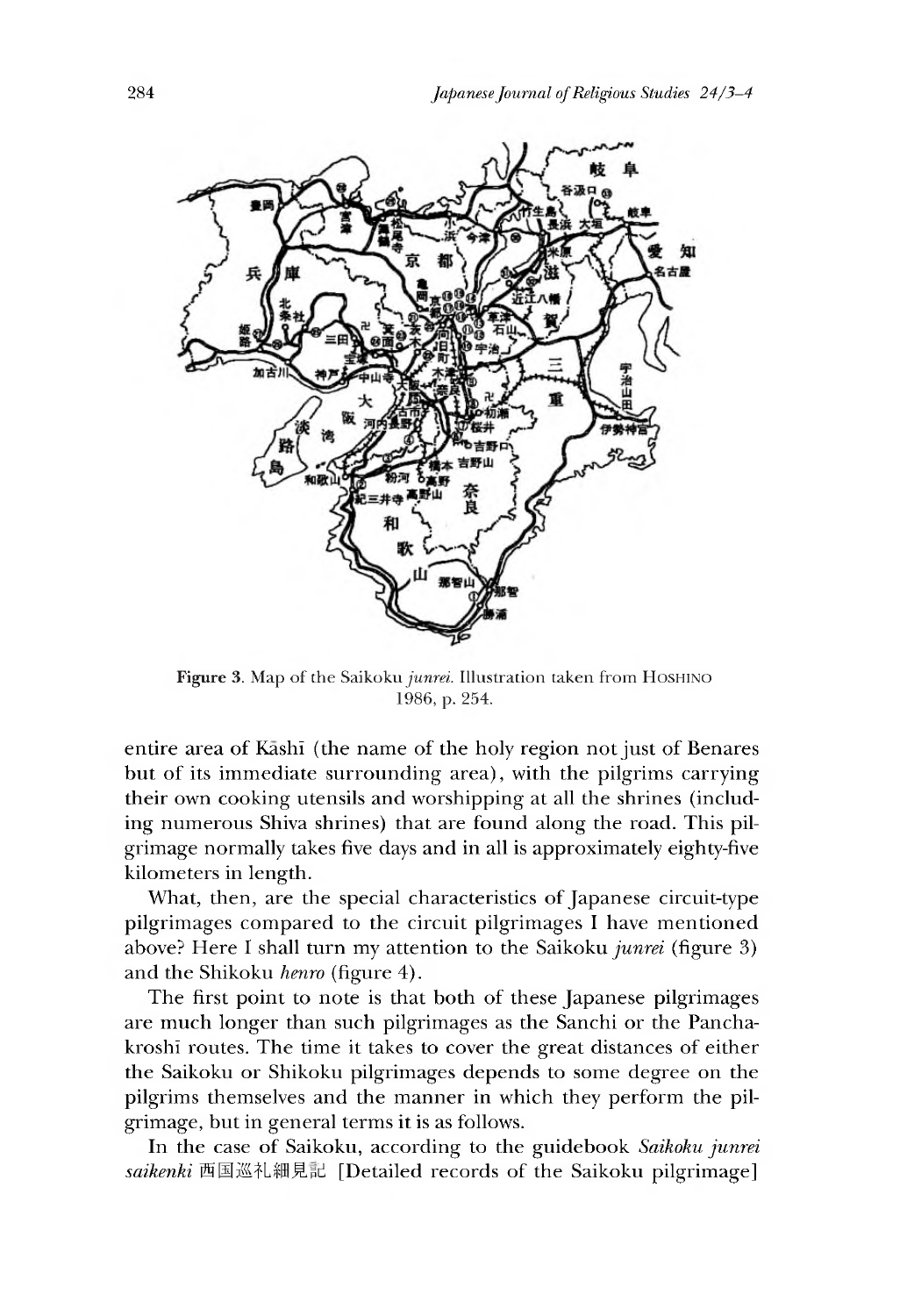

Figure **3. Map of the Saikoku** *junrei.* **Illustration taken from** Hoshino **1986, p. 254.**

entire area of Kashi (the name of the holy region not just of Benares but of its immediate surrounding area), with the pilgrims carrying their own cooking utensils and worshipping at all the shrines (including numerous Shiva shrines) that are found along the road. This pilgrimage normally takes five days and in all is approximately eighty-five kilometers in length.

What, then, are the special characteristics of Japanese circuit-type pilgrimages compared to the circuit pilgrimages I have mentioned above? Here I shall turn my attention to the Saikoku *junrei* (figure 3) and the Shikoku *henro* (figure 4).

The first point to note is that both of these Japanese pilgrimages are much longer than such pilgrimages as the Sanchi or the Panchakroshi routes. The time it takes to cover the great distances of either the Saikoku or Shikoku pilgrimages depends to some degree on the pilgrims themselves and the manner in which they perform the pilgrimage, but in general terms it is as follows.

In the case of Saikoku, according to the guidebook *Saikoku junrei* saikenki 西国巡礼細見記 [Detailed records of the Saikoku pilgrimage]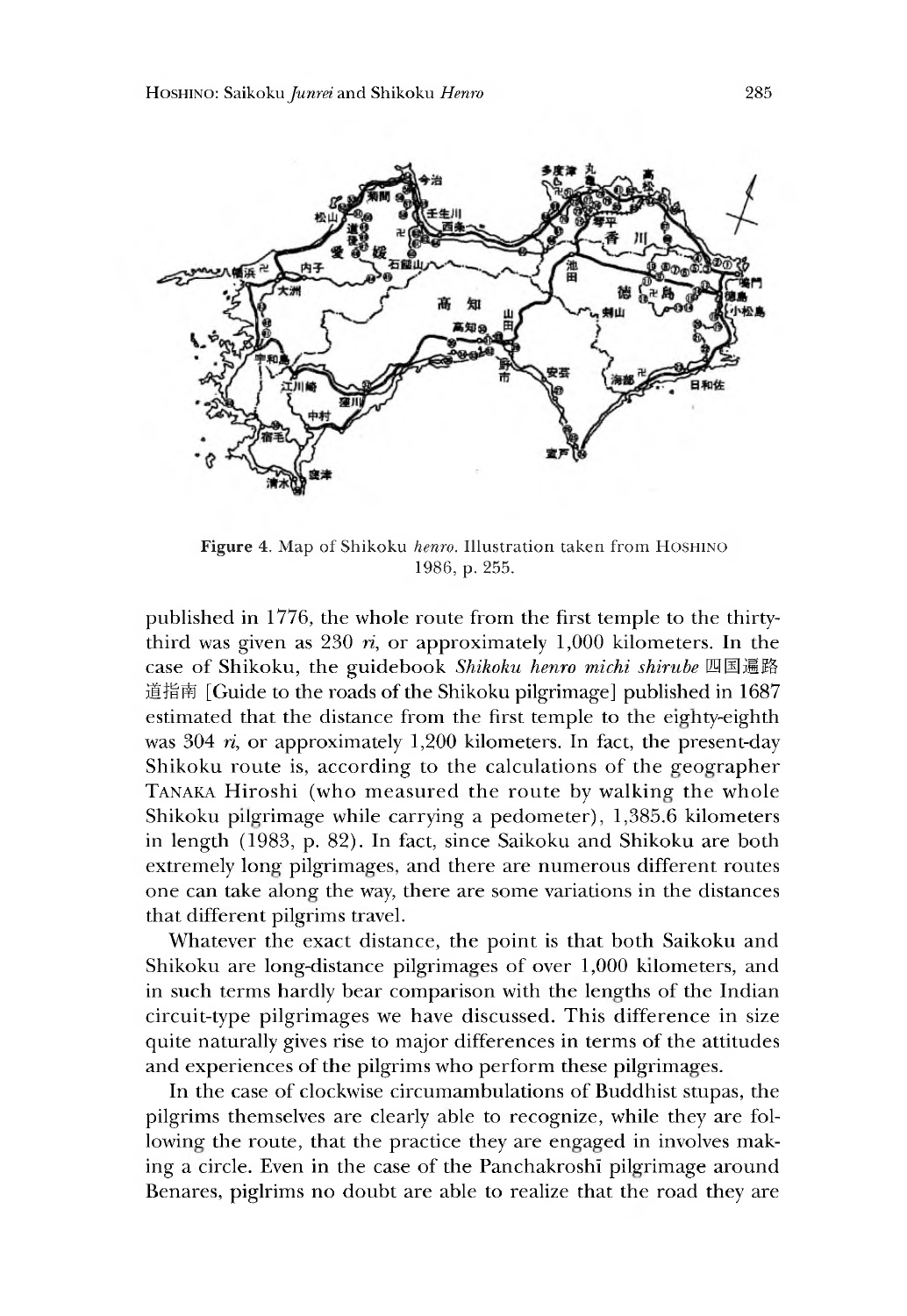

**Figure 4.** Map of Shikoku *henro*. Illustration taken from HOSHINO **1986, p. 255.**

published in 1776, the whole route from the first temple to the thirtythird was given as 230 *ri,* or approximately 1,000 kilometers. In the case of Shikoku, the guidebook *Shikoku henro michi shirube* 四国遍路 道指南 [Guide to the roads of the Shikoku pilgrimage] published in 1687 estimated that the distance from the first temple to the eighty-eighth was 304 *ri,* or approximately 1,200 kilometers. In fact, the present-day Shikoku route is, according to the calculations of the geographer Tanaka Hiroshi (who measured the route by walking" the whole Shikoku pilgrimage while carrying a pedometer), 1,385.6 kilometers in length (1983, p. 82). In fact, since Saikoku and Shikoku are both extremely long pilgrimages, and there are numerous different routes one can take alone the way, there are some variations in the distances that different pilgrims travel.

Whatever the exact distance, the point is that both Saikoku and Shikoku are long-distance pilgrimages of over 1,000 kilometers, and in such terms hardly bear comparison with the lengths of the Indian circuit-type pilgrimages we have discussed. This difference in size quite naturally gives rise to major differences in terms of the attitudes and experiences of the pilgrims who perform these pilgrimages.

In the case of clockwise circumambulations of Buddhist stupas, the pilgrims themselves are clearly able to recognize, while they are following the route, that the practice they are engaged in involves making a circle. Even in the case of the Panchakroshi pilgrimage around Benares, piglrims no doubt are able to realize that the road they are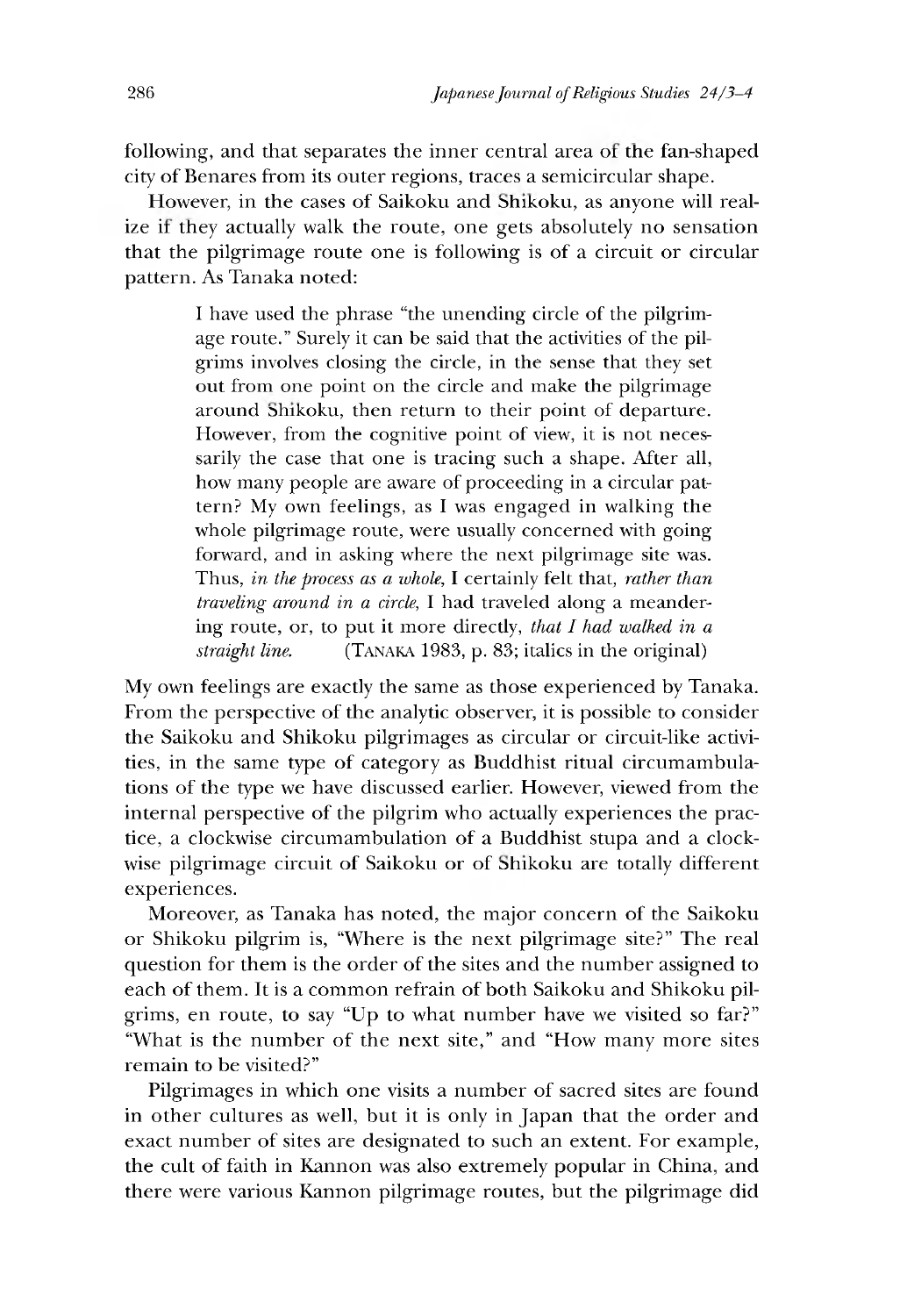following, and that separates the inner central area of the fan-shaped city of Benares from its outer regions, traces a semicircular shape.

However, in the cases of Saikoku and Shikoku, as anyone will realize if they actually walk the route, one gets absolutely no sensation that the pilgrimage route one is following is of a circuit or circular pattern. As Tanaka noted:

> I have used the phrase "the unending circle of the pilgrimage route." Surely it can be said that the activities of the pilgrims involves closing the circle, in the sense that they set out from one point on the circle and make the pilgrimage around Shikoku, then return to their point of departure. However, from the cognitive point of view, it is not necessarily the case that one is tracing such a shape. After all, how many people are aware of proceeding in a circular pattern? My own feelings, as I was engaged in walking the whole pilgrimage route, were usually concerned with going forward, and in asking where the next pilgrimage site was. Thus, *in the process as a whole*, I certainly felt that, *rather than traveling around in a circle*,I had traveled along a meandering route, or, to put it more directly, *that I had walked in a straight line.* (TANAKA 1983, p. 83; italics in the original)

My own feelings are exactly the same as those experienced by Tanaka. From the perspective of the analytic observer, it is possible to consider the Saikoku and Shikoku pilgrimages as circular or circuit-like activities, in the same type of category as Buddhist ritual circumambulations of the type we have discussed earlier. However, viewed from the internal perspective of the pilgrim who actually experiences the practice, a clockwise circumambulation of a Buddhist stupa and a clockwise pilgrimage circuit of Saikoku or of Shikoku are totally different experiences.

Moreover, as Tanaka has noted, the major concern of the Saikoku or Shikoku pilgrim is, "Where is the next pilgrimage site?" The real question for them is the order of the sites and the number assigned to each of them. It is a common refrain of both Saikoku and Shikoku pilgrims, en route, to say "Up to what number have we visited so far?" "What is the number of the next site," and "How many more sites remain to be visited?"

Pilgrimages in which one visits a number of sacred sites are found in other cultures as well, but it is only in Japan that the order and exact number of sites are designated to such an extent. For example, the cult of faith in Kannon was also extremely popular in China, and there were various Kannon pilgrimage routes, but the pilgrimage did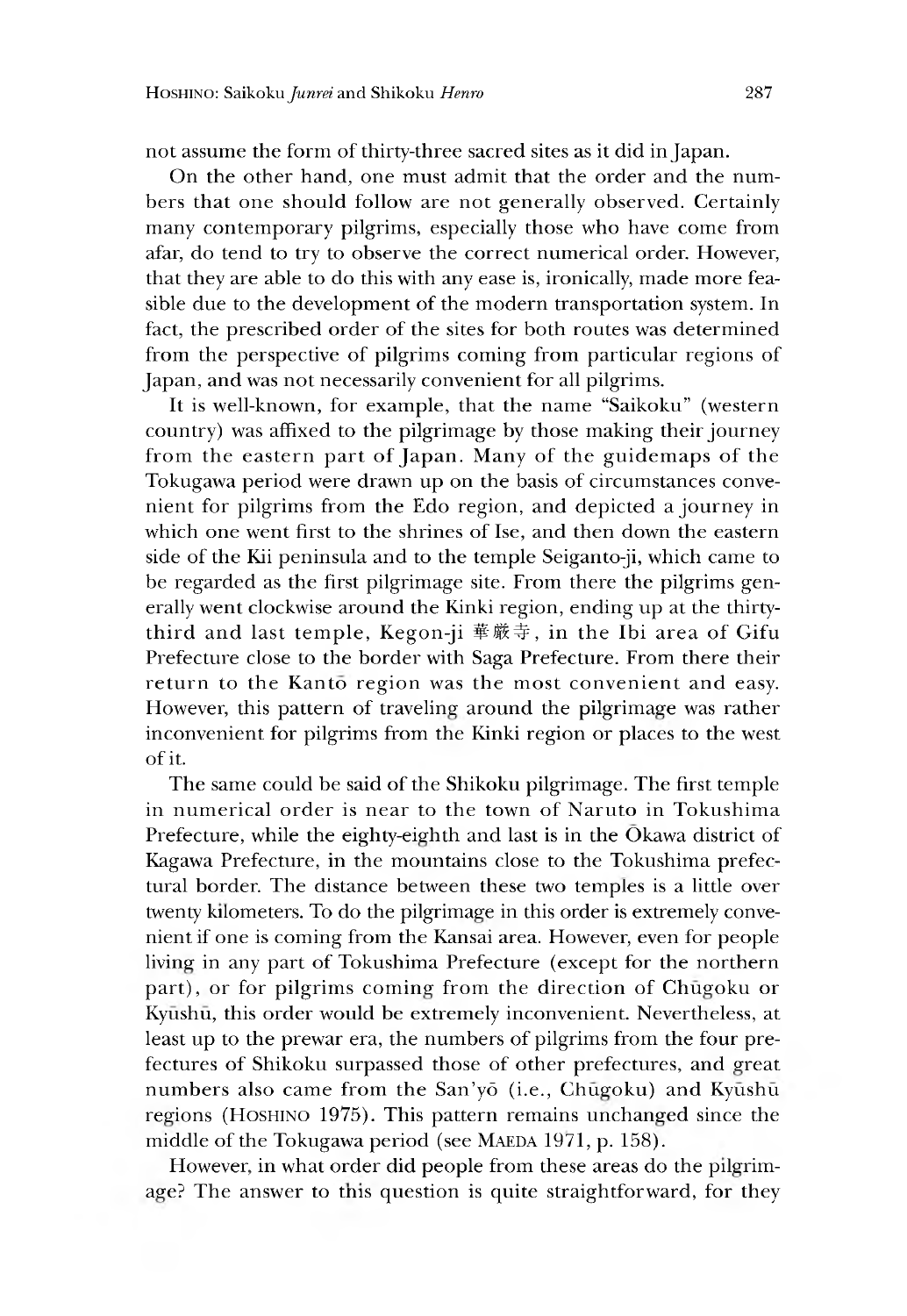not assume the form of thirty-three sacred sites as it did in Japan.

On the other hand, one must admit that the order and the numbers that one should follow are not generally observed. Certainly many contemporary pilgrims, especially those who have come from afar, do tend to try to observe the correct numerical order. However, that they are able to do this with any ease is, ironically, made more feasible due to the development of the modern transportation system. In fact, the prescribed order of the sites for both routes was determined from the perspective of pilgrims coming from particular regions of Japan, and was not necessarily convenient for all pilgrims.

It is well-known, for example, that the name "Saikoku" (western country) was affixed to the pilgrimage by those making their journey from the eastern part of Japan. Many of the guidemaps of the Tokugawa period were drawn up on the basis of circumstances convenient for pilgrims from the Edo region, and depicted a journey in which one went first to the shrines of Ise, and then down the eastern side of the Kii peninsula and to the temple Seiganto-ji, which came to be regarded as the first pilgrimage site. From there the pilgrims generally went clockwise around the Kinki region, ending up at the thirtythird and last temple, Kegon-ji 華厳寺, in the Ibi area of Gifu Prefecture close to the border with Saga Prefecture. From there their return to the Kanto region was the most convenient and easy. However, this pattern of traveling around the pilgrimage was rather inconvenient for pilgrims from the Kinki region or places to the west of it.

The same could be said of the Shikoku pilgrimage. The first temple in numerical order is near to the town of Naruto in Tokushima Prefecture, while the eighty-eighth and last is in the Okawa district of Kagawa Prefecture, in the mountains close to the Tokushima prefectural border. The distance between these two temples is a little over twenty kilometers. To do the pilgrimage in this order is extremely convenient if one is coming from the Kansai area. However, even for people living in any part of Tokushima Prefecture (except for the northern part), or for pilgrims coming from the direction of Chugoku or Kyūshū, this order would be extremely inconvenient. Nevertheless, at least up to the prewar era, the numbers of pilgrims from the four prefectures of Shikoku surpassed those of other prefectures, and great numbers also came from the San'yō (i.e., Chūgoku) and Kyūshū regions (HOSHINO 1975). This pattern remains unchanged since the middle of the Tokugawa period (see MAEDA 1971, p. 158).

However, in what order did people from these areas do the pilgrimage? The answer to this question is quite straightforward, for they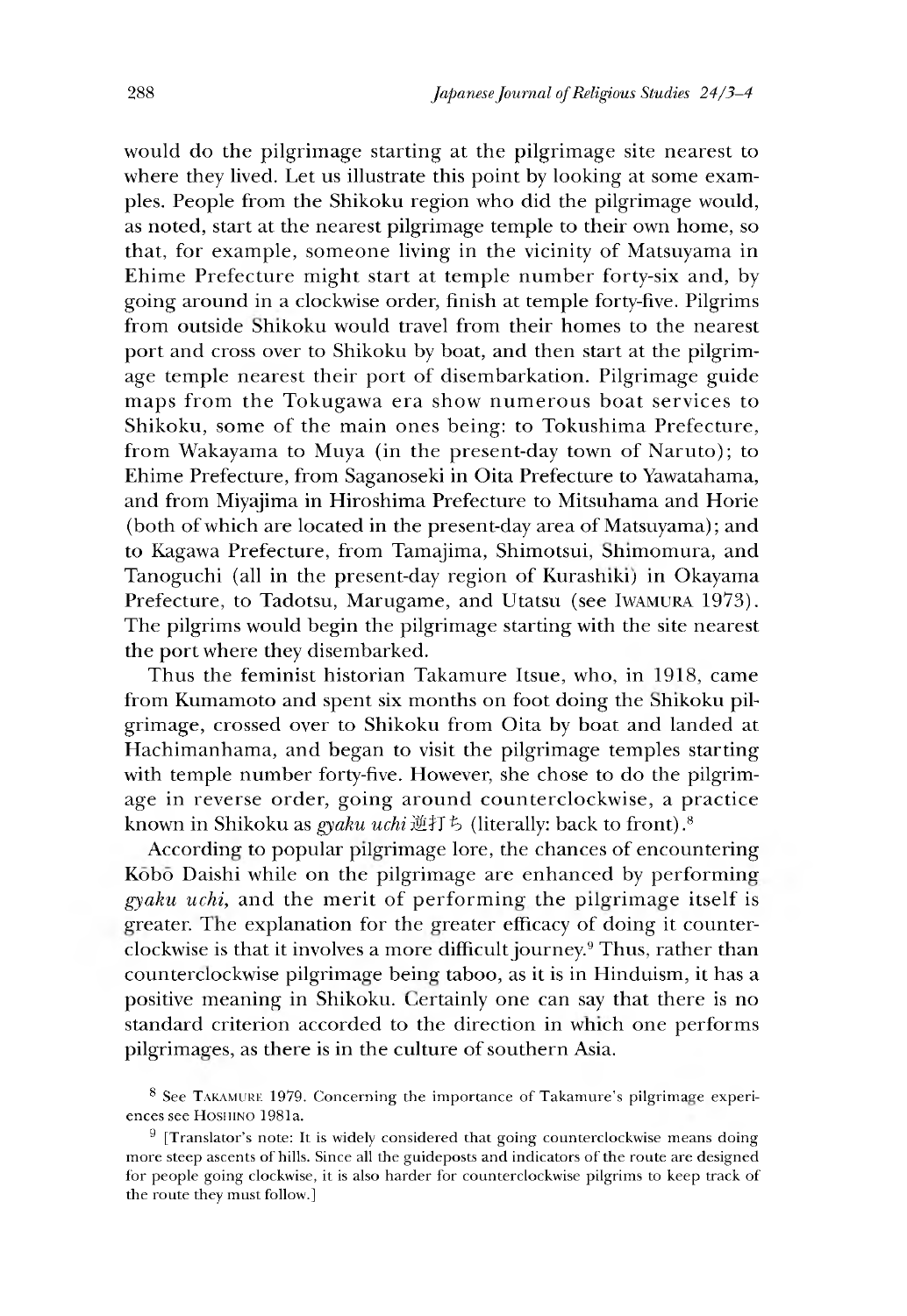would do the pilgrimage starting at the pilgrimage site nearest to where they lived. Let us illustrate this point by looking at some examples. People from the Shikoku region who did the pilgrimage would, as noted, start at the nearest pilgrimage temple to their own home, so that, for example, someone living in the vicinity of Matsuyama in Ehime Prefecture might start at temple number forty-six and, by going around in a clockwise order, finish at temple forty-five. Pilgrims from outside Shikoku would travel from their homes to the nearest port and cross over to Shikoku by boat, and then start at the pilgrimage temple nearest their port of disembarkation. Pilgrimage guide maps from the Tokugawa era show numerous boat services to Shikoku, some of the main ones being: to Tokushima Prefecture, from Wakayama to Muya (in the present-day town of Naruto); to Ehime Prefecture, from Saganoseki in Oita Prefecture to Yawatahama, and from Miyajima in Hiroshima Prefecture to Mitsuhama and Horie (both of which are located in the present-day area of Matsuyama); and to Kagawa Prefecture, from Tamajima, Shimotsui, Shimomura, and Tanoguchi (all in the present-day region of Kurashiki) in Okayama Prefecture, to Tadotsu, Marugame, and Utatsu (see Iwamura 1973). The pilgrims would begin the pilgrimage starting with the site nearest the port where they disembarked.

Thus the feminist historian Takamure Itsue, who, in 1918, came from Kumamoto and spent six months on foot doing the Shikoku pilgrimage, crossed over to Shikoku from Oita by boat and landed at Hachimanhama, and began to visit the pilgrimage temples starting with temple number forty-five. However, she chose to do the pilgrimage in reverse order, going around counterclockwise, a practice known in Shikoku as *gyaku uchi* 逆打ち(literally: back to front) .8

According to popular pilerimage lore, the chances of encountering Kōbō Daishi while on the pilgrimage are enhanced by performing *gyaku uchi,* and the merit of performing the pilgrimage itself is greater. The explanation for the greater efficacy of doing it counterclockwise is that it involves a more difficult journey.9 Thus, rather than counterclockwise pilgrimage beine taboo, as it is in Hinduism, it has a positive meaning in Shikoku, certainly one can say that there is no standard criterion accorded to the direction in which one performs pilgrimages, as there is in the culture of southern Asia.

 $8$  See TAKAMURE 1979. Concerning the importance of Takamure's pilgrimage experiences see HOSHINO 1981a.

<sup>&</sup>lt;sup>9</sup> [Translator's note: It is widely considered that going counterclockwise means doing more steep ascents of hills. Since all the guideposts and indicators of the route are designed for people going clockwise, it is also harder for counterclockwise pilgrims to keep track of the route they must follow.]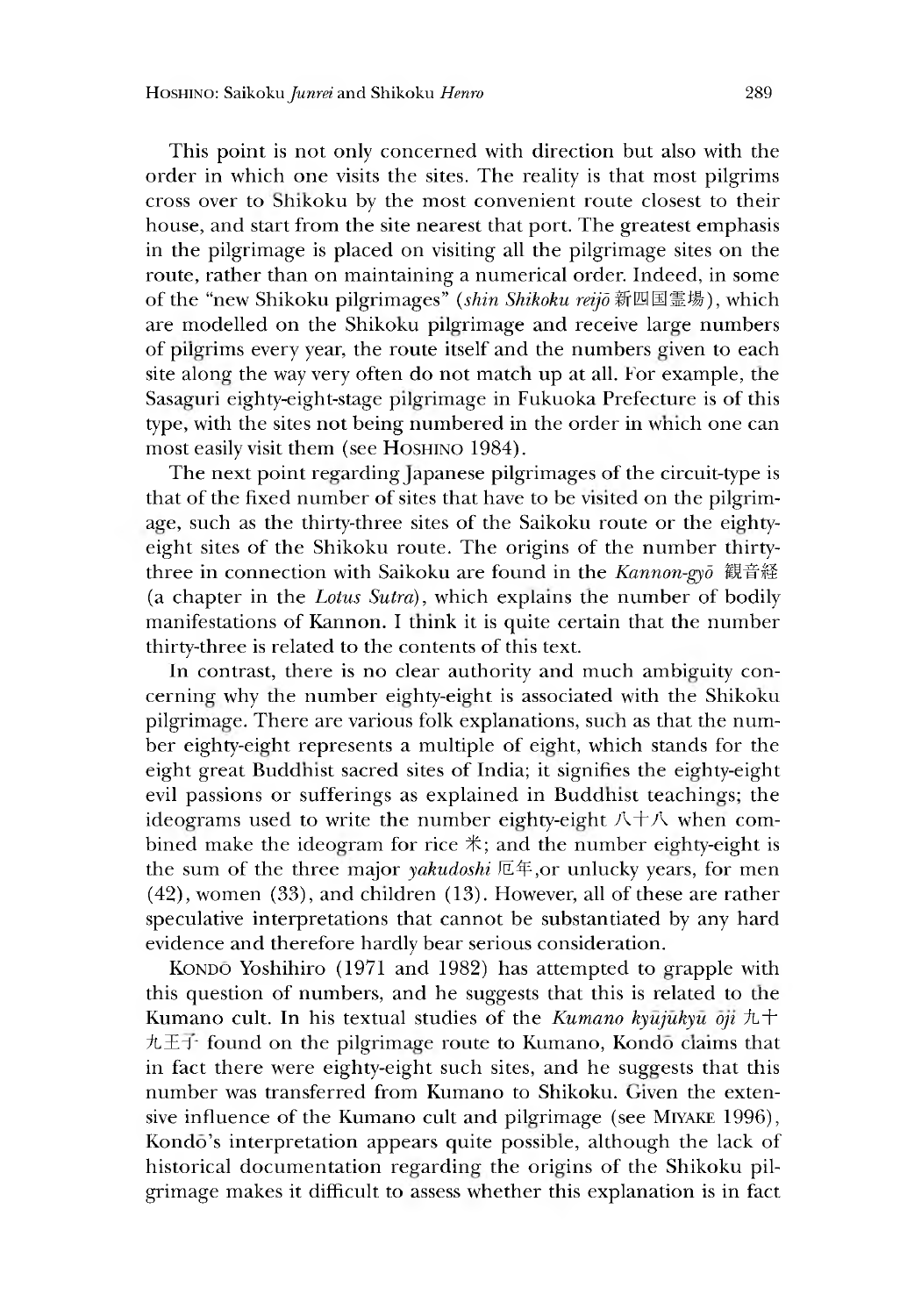This point is not only concerned with direction but also with the order in which one visits the sites. The reality is that most pilgrims cross over to Shikoku by the most convenient route closest to their house, and start from the site nearest that port. The greatest emphasis in the pilgrimage is placed on visiting all the pilgrimage sites on the route, rather than on maintaining a numerical order. Indeed, in some of the "new Shikoku pilgrimages" (shin Shikoku reijo 新四国霊場), which are modelled on the Shikoku pilgrimage and receive large numbers of pilerims every year, the route itself and the numbers given to each site alone the way very often do not match up at all. For example, the Sasaeuri eighty-eight-stage pilgrimage in Fukuoka Prefecture is of this type, with the sites not being numbered in the order in which one can most easily visit them (see HOSHINO 1984).

The next point regarding Japanese pilgrimages of the circuit-type is that of the fixed number of sites that have to be visited on the pilgrimage, such as the thirty-three sites of the Saikoku route or the eightyeight sites of the Shikoku route. The origins of the number thirtythree in connection with Saikoku are found in the *Kannon-gyd* 観音経 (a chapter in the *Lotus Sutra),* which explains the number of bodily manifestations of Kannon. I think it is quite certain that the number thirty-three is related to the contents of this text.

In contrast, there is no clear authority and much ambieuity concerning why the number eighty-eight is associated with the Shikoku pilgrimage. There are various folk explanations, such as that the number eighty-eight represents a multiple of eight, which stands for the eight great Buddhist sacred sites of India; it signifies the eighty-eight evil passions or sufferings as explained in Buddhist teachings; the ideograms used to write the number eighty-eight 八十八 when combined make the ideogram for rice  $\ddot{x}$ ; and the number eighty-eight is the sum of the three major *yakudoshi* 厄年,or unlucky years, for men (42), women (33), and children (13). However, all of these are rather speculative interpretations that cannot be substantiated by any hard evidence and therefore hardly bear serious consideration.

KONDO Yoshihiro (1971 and 1982) has attempted to grapple with this question of numbers, and he suggests that this is related to the Kumano cult. In his textual studies of the *Kumano kyujukyu ojt* 九十  $\pm \pm \pm \frac{1}{2}$  found on the pilgrimage route to Kumano, Kondō claims that in fact there were eighty-eight such sites, and he suggests that this number was transferred from Kumano to Shikoku. Given the extensive influence of the Kumano cult and pilgrimage (see MIYAKE 1996), Kondō's interpretation appears quite possible, although the lack of historical documentation regarding the origins of the Shikoku pilgrimage makes it difficult to assess whether this explanation is in fact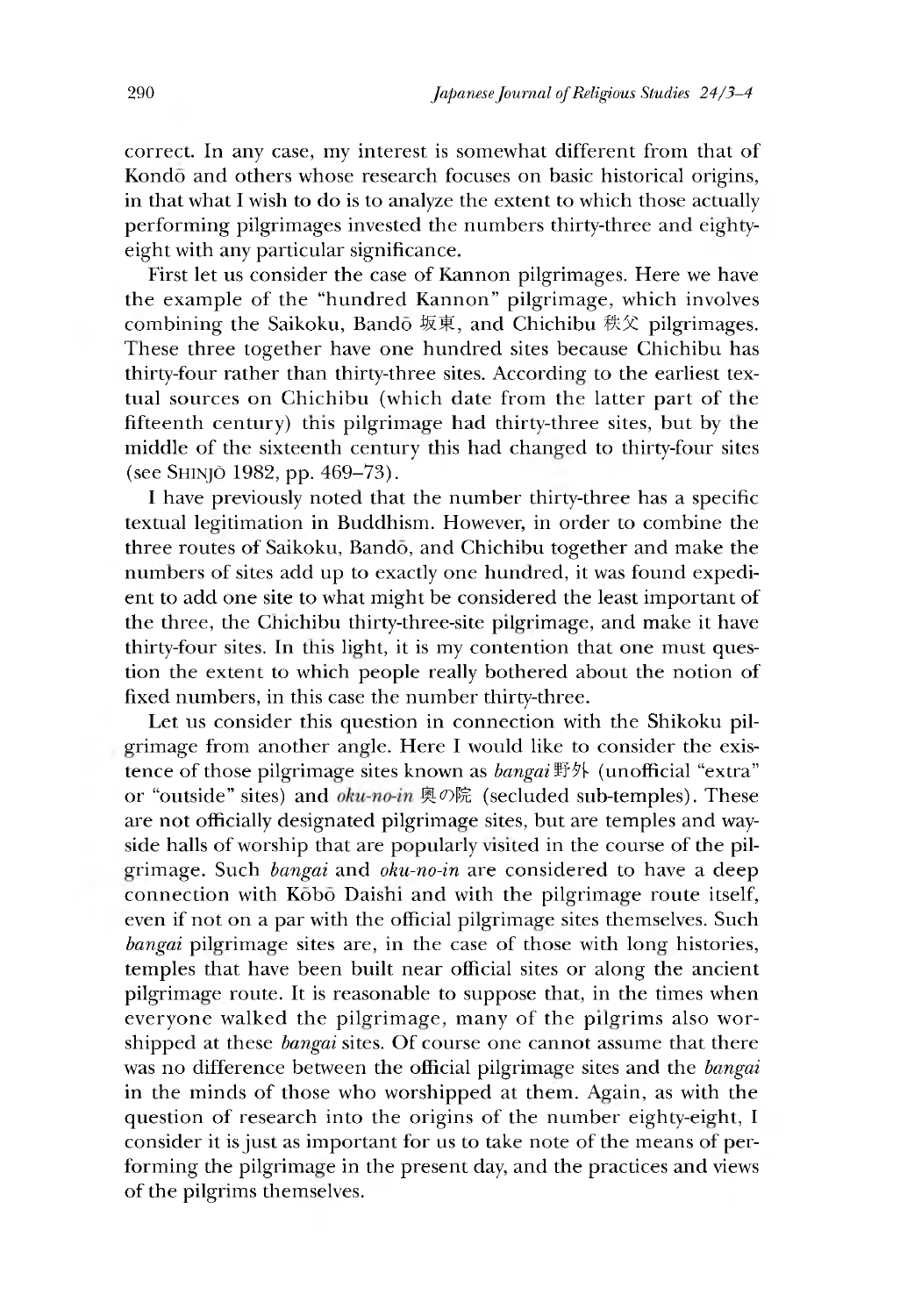correct. In any case, my interest is somewhat different from that of Kondo and others whose research focuses on basic historical origins, in that what I wish to do is to analyze the extent to which those actually performing pilgrimages invested the numbers thirty-three and eightyeight with any particular significance.

First let us consider the case of Kannon pilgrimages. Here we have the example of the "hundred Kannon" pilgrimage, which involves combining the Saikoku, Bando 坂東, and Chichibu 秩父 pilgrimages. Ihese three together have one hundred sites because Chichibu has thirty-four rather than thirty-three sites. According to the earliest textual sources on Chichibu (which date from the latter part of the fifteenth century) this pilgrimage had thirty-three sites, but by the middle of the sixteenth century this had changed to thirty-four sites (see SHINJO 1982, pp. 469–73).

I have previously noted that the number thirty-three has a specific textual legitimation in Buddhism. However, in order to combine the three routes of Saikoku, Bandō, and Chichibu together and make the numbers of sites add up to exactly one hundred, it was found expedient to add one site to what might be considered the least important of the three, the Chichibu thirty-three-site pilgrimage, and make it have thirty-four sites. In this light, it is my contention that one must question the extent to which people really bothered about the notion of fixed numbers, in this case the number thirty-three.

Let us consider this question in connection with the Shikoku pilgrimage from another angle. Here I would like to consider the existence of those pilgrimage sites known as *bangai* 野外 (unofficial "extra" or "outside" sites) and oku-no-in 奥の院 (secluded sub-temples). These are not officially designated pilgrimage sites, but are temples and wayside halls of worship that are popularly visited in the course of the pilgrimage. Such *bangai* and *oku-no-in* are considered to have a deep connection with Kobo Daishi and with the pilgrimage route itself, even if not on a par with the official pilgrimage sites themselves. Such *bangai* pilgrimage sites are, in the case of those with long histories, temples that have been built near official sites or along the ancient pilgrimage route. It is reasonable to suppose that, in the times when everyone walked the pilgrimage, many of the pilgrims also worshipped at these *bangai* sites. Of course one cannot assume that there was no difference between the official pilgrimage sites and the *bangai* in the minds of those who worshipped at them. Again, as with the question of research into the origins of the number eighty-eight, I consider it is just as important for us to take note of the means of performing the pilgrimage in the present day, and the practices and views of the pilgrims themselves.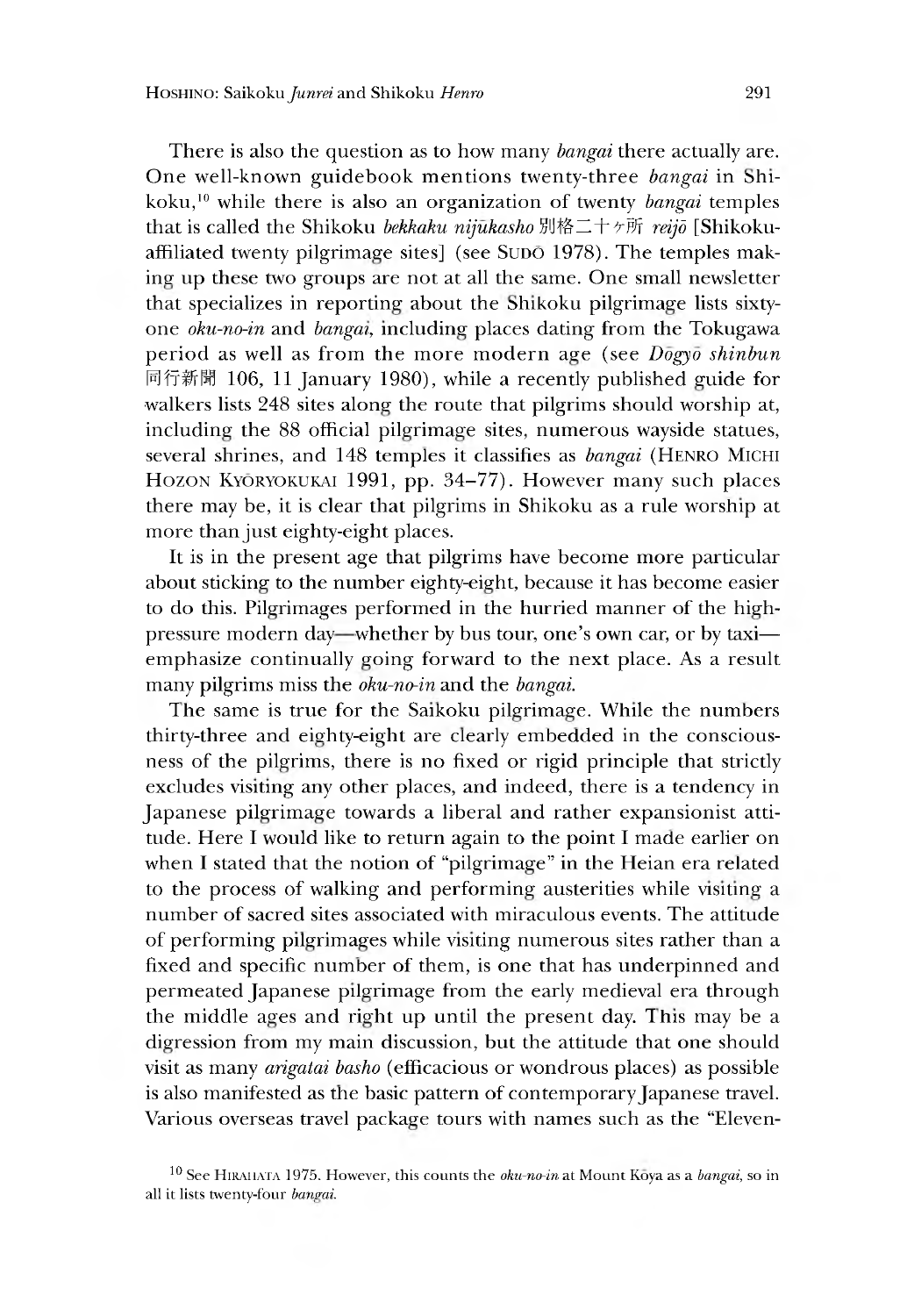There is also the question as to how many *bangai* there actually are. One well-known guidebook mentions twenty-three *bangai* in Shikoku,10 while there is also an organization of twenty *bangai* temples that is called the Shikoku *bekkaku nijukasho* 別格二十ヶ所 *reijd* [Shikokuaffiliated twenty pilgrimage sites] (see Supo 1978). The temples making up these two groups are not at all the same. One small newsletter that specializes in reporting about the Shikoku pilgrimage lists sixtyone *oku-no-in* and *bangai,* including places dating from the Tokugawa period as well as from the more modern aee (see *Dogyo shinbun* 同行新聞106,11 January 1980),while a recently published guide for walkers lists 248 sites along the route that pilgrims should worship at, including the 88 official pilgrimage sites, numerous wayside statues, several shrines, and 148 temples it classifies as *bangai* (Henro Michi HOZON KYŌRYOKUKAI 1991, pp. 34-77). However many such places there may be, it is clear that pilgrims in Shikoku as a rule worship at more than just eighty-eight places.

It is in the present age that pilgrims have become more particular about sticking to the number eighty-eight, because it has become easier to do this. Pilgrimages performed in the hurried manner of the highpressure modern day—whether by bus tour, one's own car, or by taxi emphasize continually eoing forward to the next place. As a result many pilgrims miss the *oku-no-in* and the *bangai.*

The same is true for the Saikoku pilgrimage. While the numbers thirty-three and eighty-eight are clearly embedded in the consciousness of the pilgrims, there is no fixed or rigid principle that strictly excludes visiting any other places, and indeed, there is a tendency in Japanese pilgrimage towards a liberal and rather expansionist attitude. Here I would like to return again to the point I made earlier on when I stated that the notion of "pilgrimage" in the Heian era related to the process of walking and performing austerities while visiting a number of sacred sites associated with miraculous events. The attitude of performing pilgrimages while visiting numerous sites rather than a fixed and specific number of them, is one that has underpinned and permeated Japanese pilerimage from the early medieval era through the middle ages and right up until the present day. This may be a digression from my main discussion, but the attitude that one should visit as many *arigatai basho* (efficacious or wondrous places) as possible is also manifested as the basic pattern of contemporary Japanese travel. Various overseas travel package tours with names such as the "Eleven-

 $10$  See HIRAHATA 1975. However, this counts the *oku-no-in* at Mount Koya as a *bangai*, so in all it lists twenty-four *bangai*.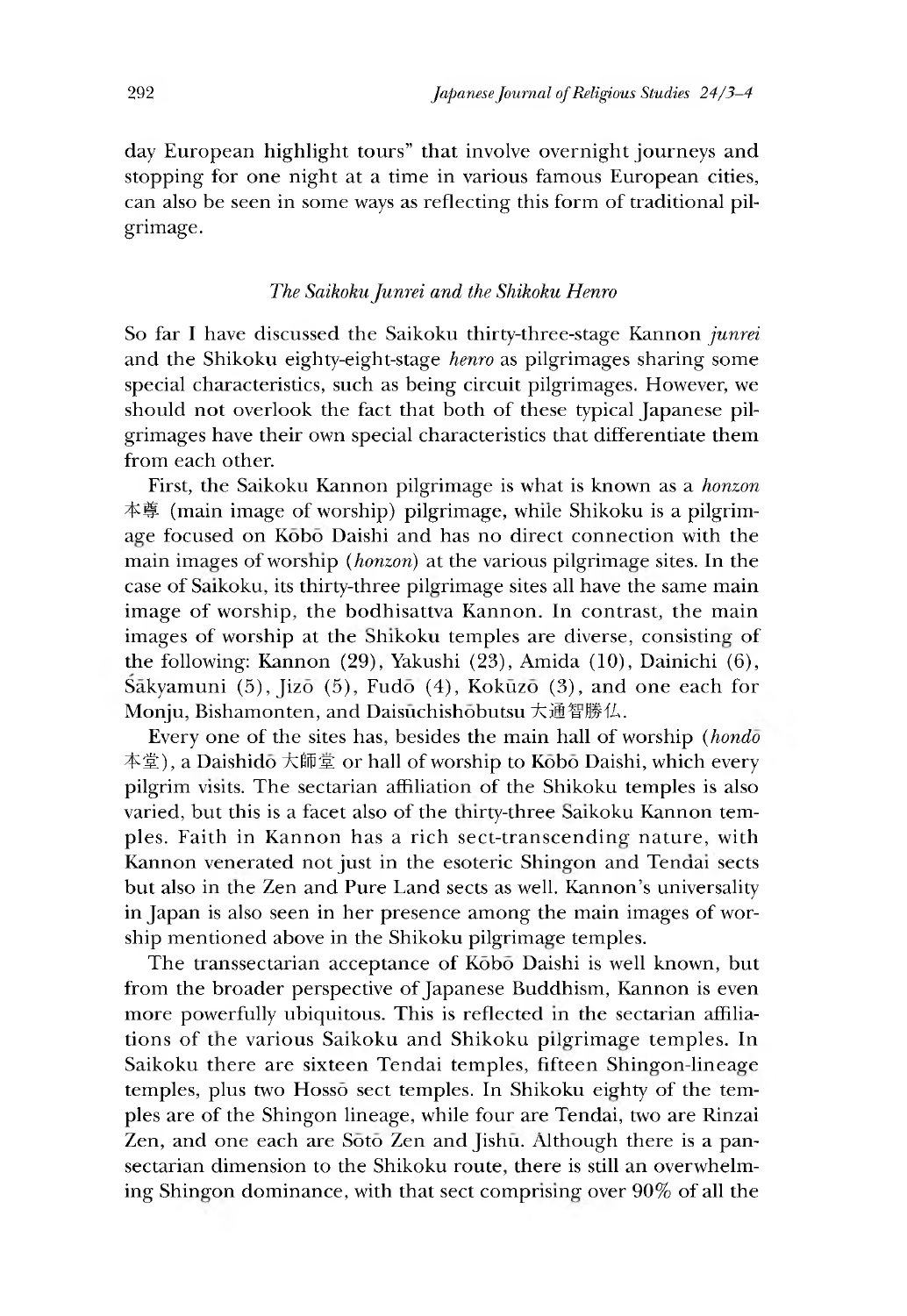day European highlight tours" that involve overnight journeys and stopping for one night at a time in various famous European cities, can also be seen in some ways as reflecting this form of traditional pilgrimage.

# *The Saikoku Junrei and the Shikoku Henro*

So far I have discussed the Saikoku thirty-three-stage Kannon *junrei* and the Shikoku eighty-eight-stage *henro* as pilgrimages sharing some special characteristics, such as being circuit pilgrimages. However, we should not overlook the fact that both of these typical Japanese pilgrimages have their own special characteristics that differentiate them from each other.

First, the Saikoku Kannon pilgrimage is what is known as a *horizon* 本尊 (main image of worship) pilgrimage, while Shikoku is a pilgrimage focused on Kobo Daishi and has no direct connection with the main images of worship *(honzon)* at the various pilgrimage sites. In the case of Saikoku, its thirty-three pilerimage sites all have the same main image of worship, the bodhisattva Kannon. In contrast, the main images of worship at the Shikoku temples are diverse, consisting of the following: Kannon (29), Yakushi (23), Amida (10), Dainichi (6),  $\overline{\text{S}a}$ kyamuni (5), Jizo (5), Fudo (4), Kokuzo (3), and one each for Monju, Bishamonten, and Daisuchishobutsu 大通智勝仏.

Every one of the sites has, besides the main hall of worship *(hondo* 本堂), a Daishidō 大師堂 or hall of worship to Kōbō Daishi, which every pilgrim visits. The sectarian affiliation of the Shikoku temples is also varied, but this is a facet also of the thirty-three saikoku Kannon temples. Faith in Kannon has a rich sect-transcendine nature, with Kannon venerated not just in the esoteric Shingon and Tendai sects but also in the Zen and Pure Land sects as well. Kannon's universality in Japan is also seen in her presence among the main images of worship mentioned above in the Shikoku pilgrimage temples.

The transsectarian acceptance of Kobo Daishi is well known, but from the broader perspective of Japanese Buddhism, Kannon is even more powerfully ubiquitous. This is reflected in the sectarian affiliations of the various Saikoku and Shikoku pilgrimage temples. In Saikoku there are sixteen Tendai temples, fifteen Shingon-lineage temples, plus two Hosso sect temples. In Shikoku eighty of the temples are of the Shingon lineage, while four are Tendai, two are Rinzai Zen, and one each are Soto Zen and Jishū. Although there is a pansectarian dimension to the Shikoku route, there is still an overwhelming Shingon dominance, with that sect comprising over 90% of all the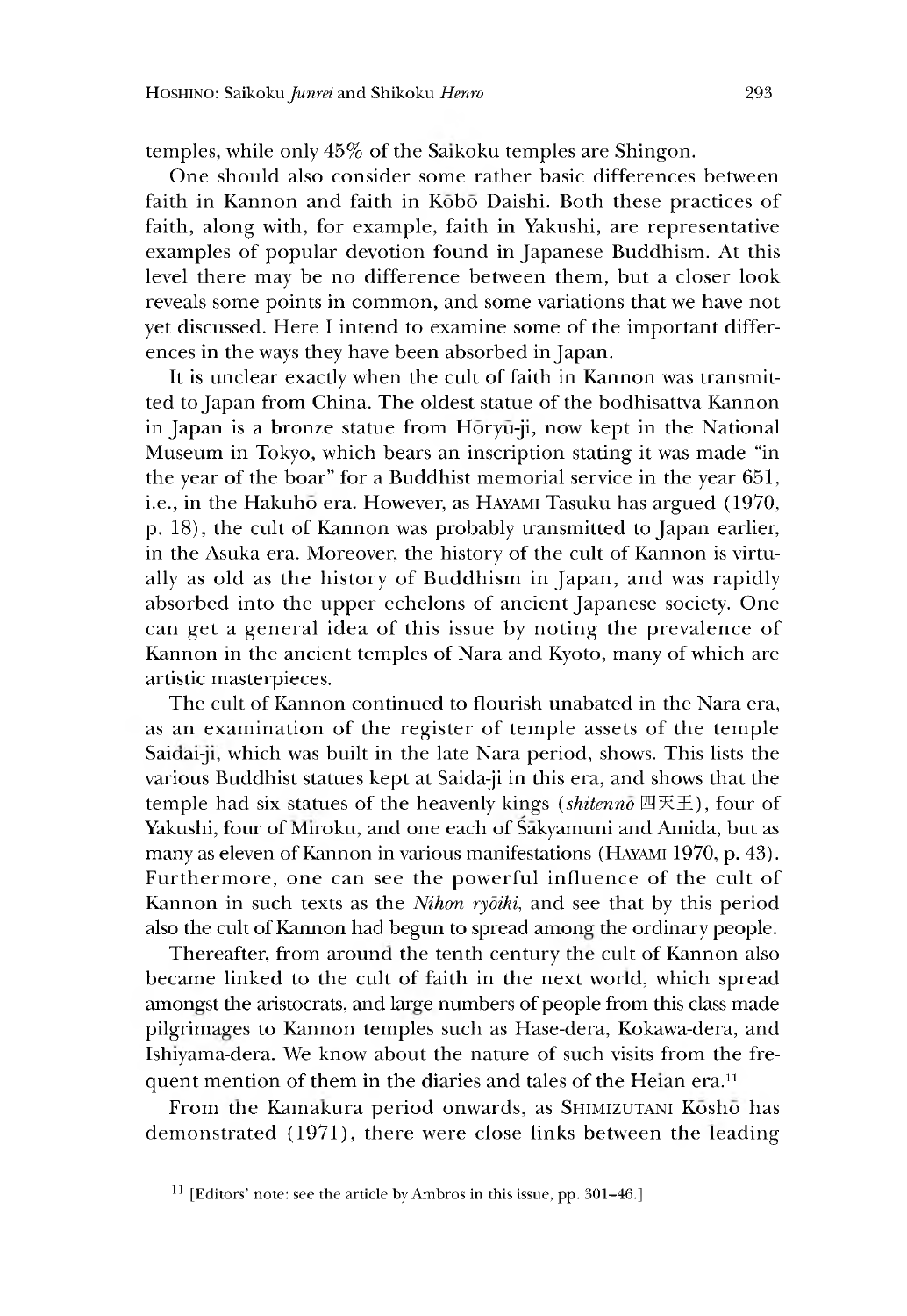temples, while only *45%* of the Saikoku temples are Shingon.

One should also consider some rather basic differences between faith in Kannon and faith in Kobo Daishi. Both these practices of faith, along with, for example, faith in Yakushi, are representative examples of popular devotion found in Japanese Buddhism. At this level there may be no difference between them, but a closer look reveals some points in common, and some variations that we have not yet discussed. Here I intend to examine some of the important differences in the ways they have been absorbed in Japan.

It is unclear exactly when the cult of faith in Kannon was transmitted to Japan from China. The oldest statue of the bodhisattva Kannon in Japan is a bronze statue from Hōryū-ji, now kept in the National Museum in Tokyo, which bears an inscription stating it was made "in the year of the boar" for a Buddhist memorial service in the year 651, i.e., in the Hakuho era. However, as HAYAMI Tasuku has argued (1970, p. 18), the cult of Kannon was probably transmitted to Japan earlier, in the Asuka era. Moreover, the history of the cult of Kannon is virtually as old as the history of Buddhism in Japan, and was rapidly absorbed into the upper echelons of ancient Japanese society. One can get a general idea of this issue by noting the prevalence of Kannon in the ancient temples of Nara and Kyoto, many of which are artistic masterpieces.

The cult of Kannon continued to flourish unabated in the Nara era, as an examination of the register of temple assets of the temple Saidai-ji, which was built in the late Nara period, shows. This lists the various Buddhist statues kept at Saida-ji in this era, and shows that the temple had six statues of the heavenly kings (shitenno 四天王), four of Yakushi, four of Miroku, and one each of Sakyamuni and Amida, but as many as eleven of Kannon in various manifestations (HAYAMI 1970, p. 43). Furthermore, one can see the powerful influence of the cult of Kannon in such texts as the *Nihon rydiki,* and see that by this period also the cult of Kannon had begun to spread among the ordinary people.

Thereafter, from around the tenth century the cult of Kannon also became linked to the cult of faith in the next world, which spread amongst the aristocrats, and large numbers of people from this class made pilgrimages to Kannon temples such as Hase-dera, Kokawa-dera, and Ishiyama-dera. We know about the nature of such visits from the frequent mention of them in the diaries and tales of the Heian era.11

From the Kamakura period onwards, as SHIMIZUTANI Kosho has demonstrated (1971), there were close links between the leading

 $11$  [Editors' note: see the article by Ambros in this issue, pp. 301-46.]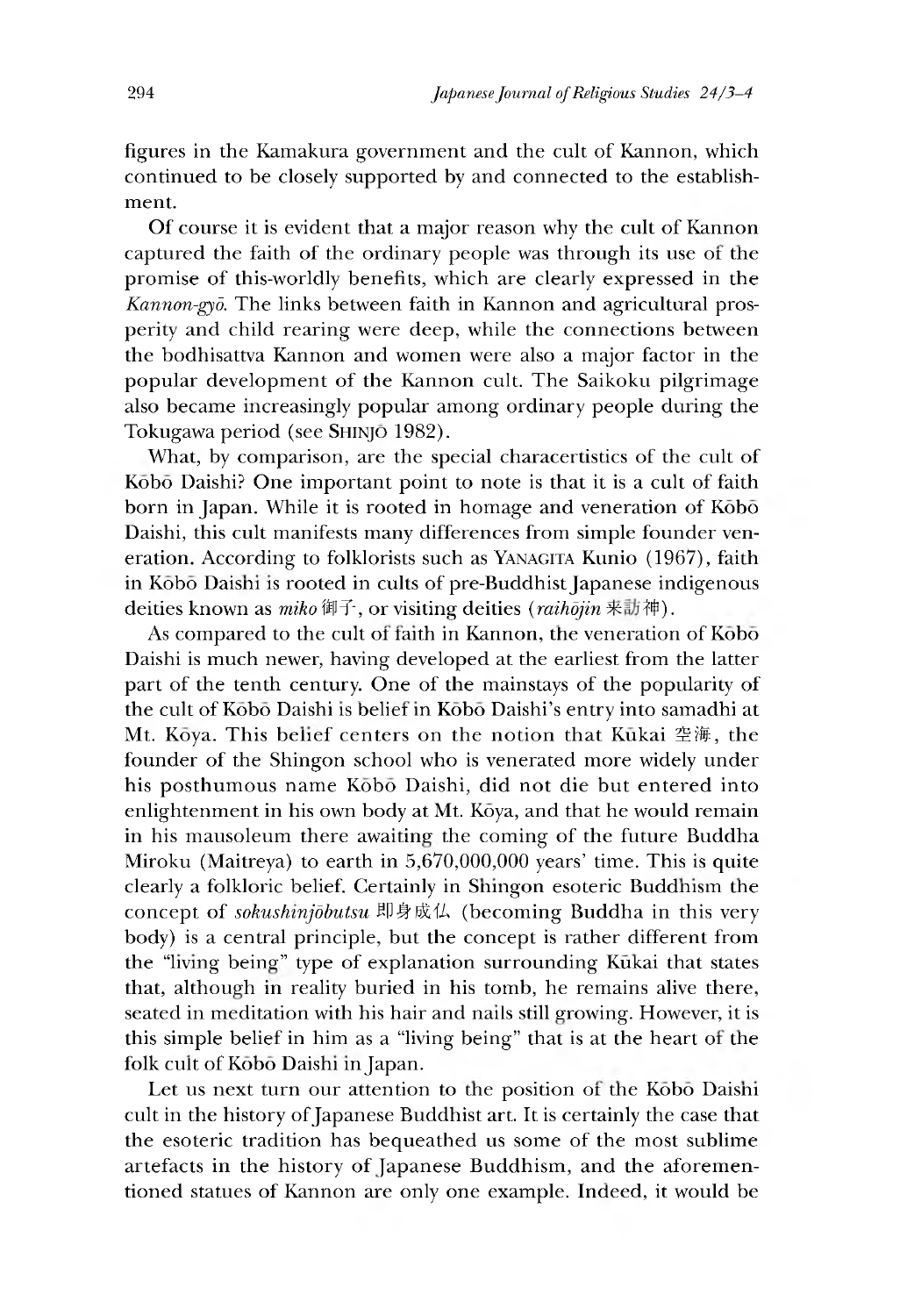figures in the Kamakura government and the cult of Kannon, which continued to be closely supported by and connected to the establishment.

Of course it is evident that a major reason why the cult of Kannon captured the faith of the ordinary people was through its use of the promise of this-worldly benefits, which are clearly expressed in the *Kannon-gyd.* The links between faith in Kannon and agricultural prosperity and child rearing were deep, while the connections between the bodhisattva Kannon and women were also a major factor in the popular development of the Kannon cult. The Saikoku pilgrimage also became increasingly popular among ordinary people during the Tokugawa period (see SHINJO 1982).

What, by comparison, are the special characertistics of the cult of Kobo Daishi? One important point to note is that it is a cult of faith born in Japan. While it is rooted in homage and veneration of  $K\bar{\text{ob}}\bar{\text{o}}$ Daishi, this cult manifests many differences from simple founder veneration. According to folklorists such as YANAGITA Kunio (1967), faith in Kōbō Daishi is rooted in cults of pre-Buddhist Japanese indigenous deities known as *miko* 御子, or visiting deities (*raihōjin* 来訪神).

As compared to the cult of faith in Kannon, the veneration of Kobo Daishi is much newer, having developed at the earliest from the latter part of the tenth century. One of the mainstays of the popularity of the cult of Kobo Daishi is belief in Kobo Daishi's entry into samadhi at Mt. Kōya. This belief centers on the notion that Kūkai 空海, the founder of the Shingon school who is venerated more widely under his posthumous name Kōbō Daishi, did not die but entered into enlightenment in his own body at Mt. Koya, and that he would remain in his mausoleum there awaiting the coming of the future Buddha Miroku (Maitreya) to earth in 5,670,000,000 years' time. This is quite clearly a folkloric belief. Certainly in Shingon esoteric Buddhism the concept of *sokushinjobutsu* 即身成仏 (becoming Buddha in this very body) is a central principle, but the concept is rather different from the "living being" type of explanation surrounding Kukai that states that, although in reality buried in his tomb, he remains alive there, seated in meditation with his hair and nails still growing. However, it is this simple belief in him as a "living being" that is at the heart of the folk cult of Kobo Daishi in Japan.

Let us next turn our attention to the position of the Kobo Daishi cult in the history of Japanese Buddhist art. It is certainly the case that the esoteric tradition has bequeathed us some of the most sublime artefacts in the history of Japanese Buddhism, and the aforementioned statues of Kannon are only one example. Indeed, it would be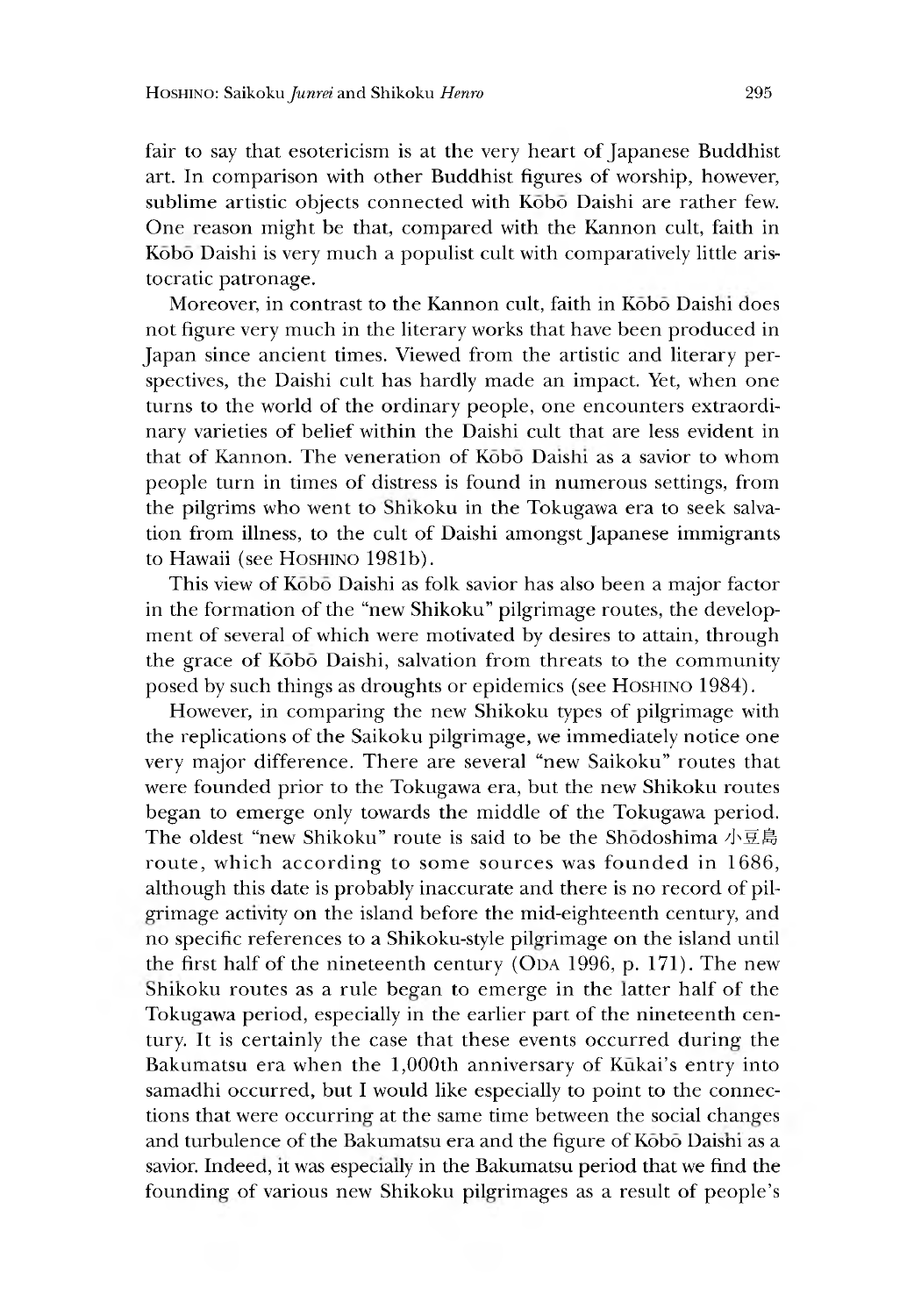fair to say that esotericism is at the very heart of Japanese Buddhist art. In comparison with other Buddhist figures of worship, however, sublime artistic objects connected with Kobo Daishi are rather few. One reason might be that, compared with the Kannon cult, faith in Kōbō Daishi is very much a populist cult with comparatively little aristocratic patronage.

Moreover, in contrast to the Kannon cult, faith in Kobo Daishi does not figure very much in the literary works that have been produced in Japan since ancient times. Viewed from the artistic and literary perspectives, the Daishi cult has hardly made an impact. Yet, when one turns to the world of the ordinary people, one encounters extraordinary varieties of belief within the Daishi cult that are less evident in that of Kannon. The veneration of Kobo Daishi as a savior to whom people turn in times of distress is found in numerous settings, from the pilgrims who went to Shikoku in the Tokugawa era to seek salvation from illness, to the cult of Daishi amongst Japanese immigrants to Hawaii (see Hoshino 1981b).

This view of Kobo Daishi as folk savior has also been a major factor in the formation of the "new Shikoku" pilgrimage routes, the development of several of which were motivated by desires to attain, through the grace of Kobo Daishi, salvation from threats to the community posed by such things as droughts or epidemics (see HOSHINO 1984).

However, in comparing the new Shikoku types of pilgrimage with the replications of the Saikoku pilgrimage, we immediately notice one very major difference. There are several "new Saikoku" routes that were founded prior to the Tokugawa era, but the new Shikoku routes began to emerge only towards the middle of the Tokugawa period. The oldest "new Shikoku" route is said to be the Shodoshima 小豆島 route, which according to some sources was founded in 1686, although this date is probably inaccurate and there is no record of pilgrimage activity on the island before the mid-eighteenth century, and no specific references to a Shikoku-style pilgrimage on the island until the first half of the nineteenth century (ODA 1996, p. 171). The new Shikoku routes as a rule began to emerge in the latter half of the Tokugawa period, especially in the earlier part of the nineteenth century. It is certainly the case that these events occurred during the Bakumatsu era when the 1,000th anniversary of Kūkai's entry into samadhi occurred, but I would like especially to point to the connections that were occurring at the same time between the social changes and turbulence of the Bakumatsu era and the figure of Kobo Daishi as a savior. Indeed, it was especially in the Bakumatsu period that we find the foundine of various new Shikoku pilgrimages as a result of people's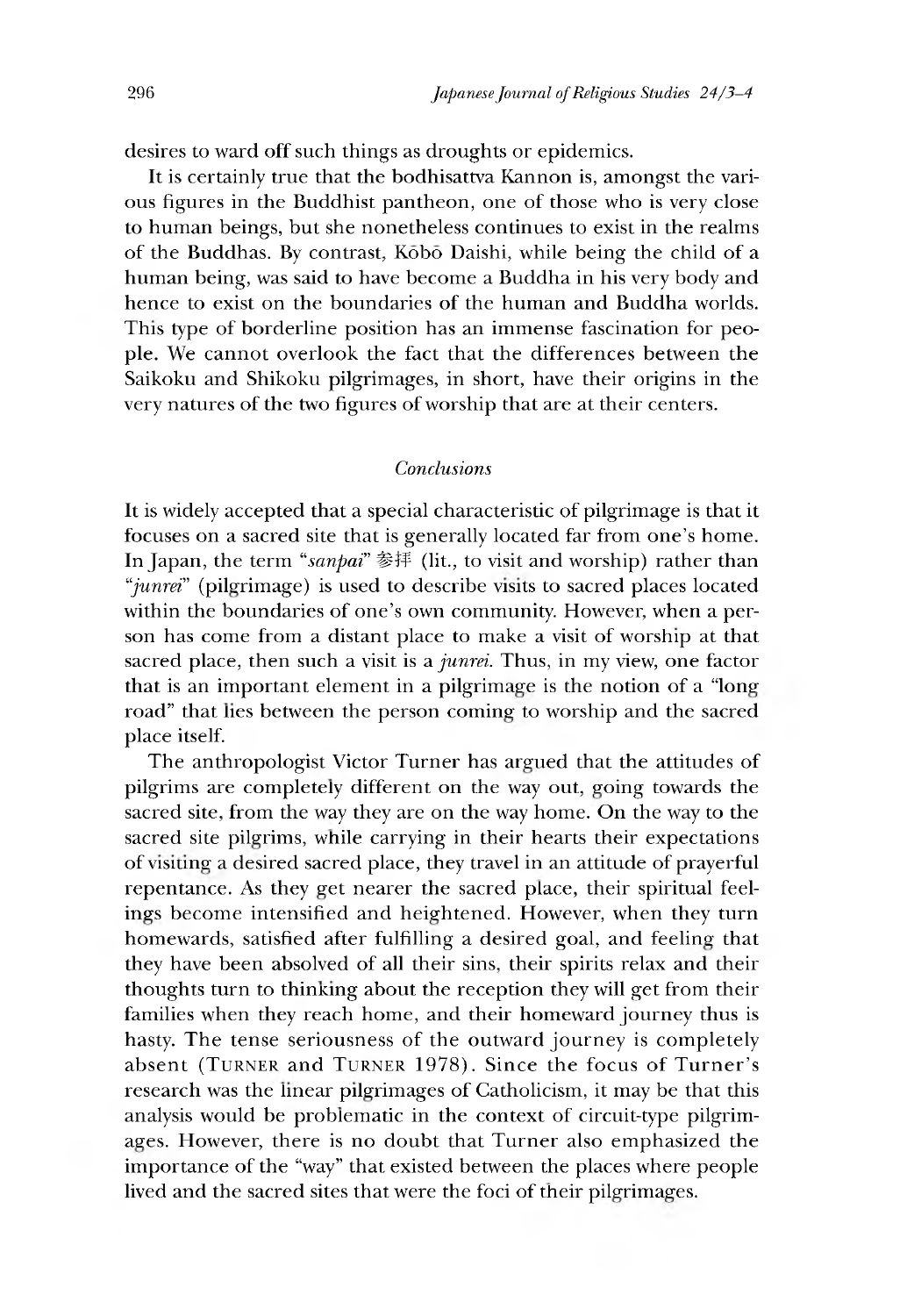desires to ward off such things as droughts or epidemics.

It is certainly true that the bodhisattva Kannon is, amongst the various figures in the Buddhist pantheon, one of those who is very close to human beings, but she nonetheless continues to exist in the realms of the Buddhas. By contrast, Kobo Daishi, while being the child of a human being, was said to have become a Buddha in his very body and hence to exist on the boundaries of the human and Buddha worlds. This type of borderline position has an immense fascination for people. We cannot overlook the fact that the differences between the Saikoku and Shikoku pilgrimages, in short, have their origins in the very natures of the two figures of worship that are at their centers.

#### *Conclusions*

It is widely accepted that a special characteristic of pilgrimage is that it focuses on a sacred site that is generally located far from one's home. In Japan, the term "*sanpai*" 参拝 (lit., to visit and worship) rather than "*junrei*" (pilgrimage) is used to describe visits to sacred places located within the boundaries of one's own community. However, when a person has come from a distant place to make a visit of worship at that sacred place, then such a visit is a *junrei.* Thus, in my view, one factor that is an important element in a pilgrimage is the notion of a "long road" that lies between the person coming to worship and the sacred place itself.

The anthropologist Victor Turner has argued that the attitudes of pilgrims are completely different on the way out, going towards the sacred site, from the way they are on the way home. On the way to the sacred site pilgrims, while carrying in their hearts their expectations of visiune a desired sacred place, they travel in an attitude of prayerful repentance. As they get nearer the sacred place, their spiritual feelings become intensified and heightened. However, when they turn homewards, satisfied after fulfilling a desired goal, and feeling that they have been absolved of all their sins, their spirits relax and their thoughts turn to thinking about the reception they will get from their families when they reach home, and their homeward journey thus is hasty. The tense seriousness of the outward journey is completely absent (Turner and Turner 1978). Since the focus of Turner's research was the linear pilgrimages of Catholicism, it may be that this analysis would be problematic in the context of circuit-type pilgrimages. However, there is no doubt that Turner also emphasized the importance of the "way" that existed between the places where people lived and the sacred sites that were the foci of their pilgrimages.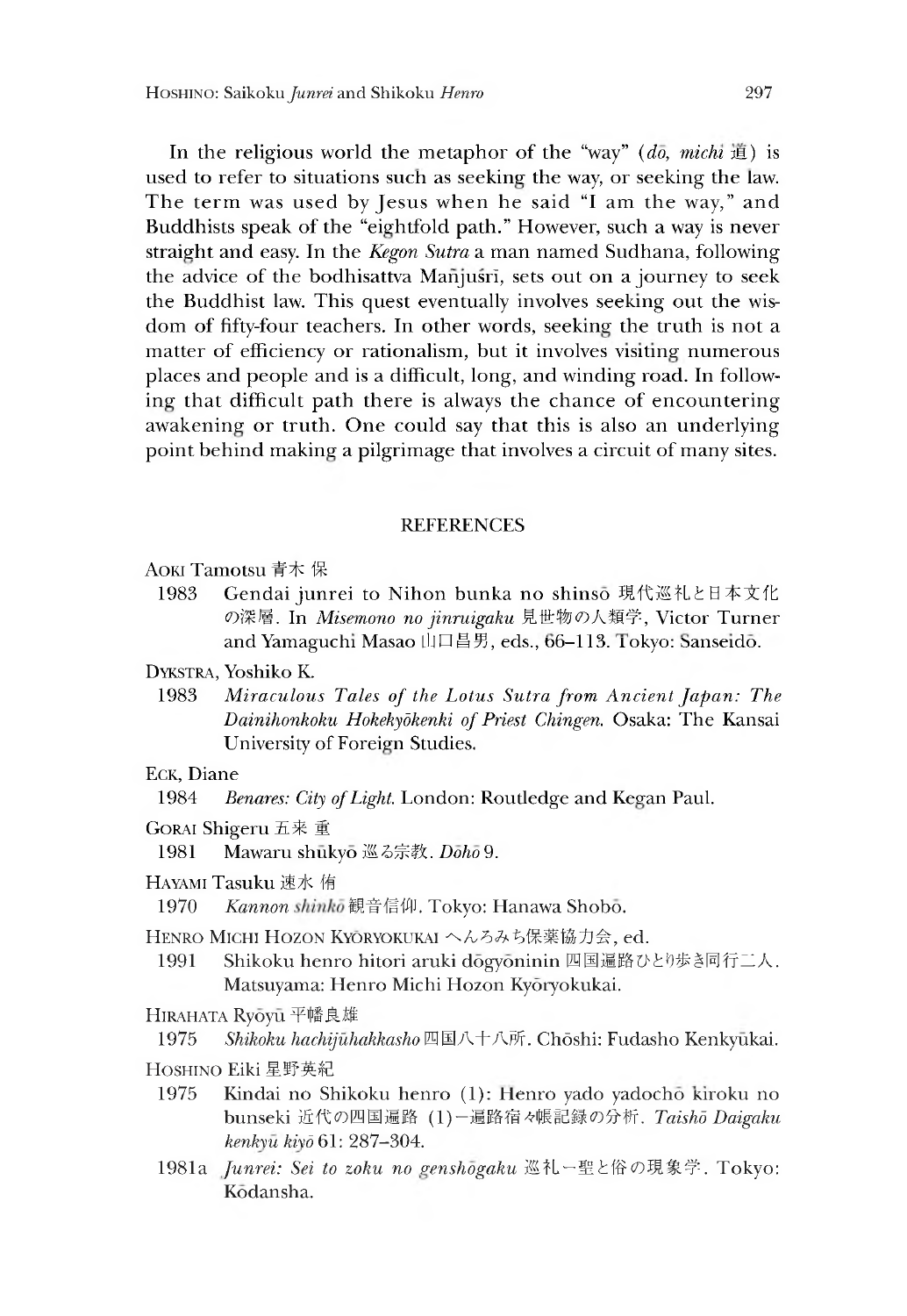In the religious world the metaphor of the "way"  $(d\bar{o}, \text{michi} \#)$  is used to refer to situations such as seeking the way, or seeking the law. The term was used by Jesus when he said "I am the way," and Buddhists speak of the "eightfold path." However, such a way is never straight and easy. In the *Kegon Sutra* a man named Sudhana, following the advice of the bodhisattva Manjusri, sets out on a journey to seek the Buddhist law. This quest eventually involves seeking out the wisdom of fifty-four teachers. In other words, seeking the truth is not a matter of efficiency or rationalism, but it involves visiting numerous places and people and is a difficult, long, and winding road. In followine that difficult path there is always the chance of encountering awakening or truth. One could say that this is also an underlying point behind making a pilgrimage that involves a circuit of many sites.

#### **REFERENCES**

AOKI Tamotsu 青木 保

1983 Gendai junrei to Nihon bunka no shinso 現代巡礼と日本文化 の深層. In *Misemono no jinruigaku* 見世物の人類学,Victor Turner and Yamaguchi Masao 山口昌男, eds., 66-113. Tokyo: Sanseidō.

Dykstra, Yoshiko K.

- 1983 *Miraculous Tales of the Lotus Sutra from Ancient Japan: The Dainihonkoku Hokekydkenki of Priest Chingen.* Osaka: The Kansai University of Foreign Studies.
- Eck, Diane
	- 1984 *Benares: City of Light.* London: Routledge and Kegan Paul.
- Gorai Shigeru 五来重

1981 Mawaru shukyo 巡る宗教*.Doho* 9.

Hayami Tasuku 速水侑

1970 *Kannon shinko* 観音信仰. Tokyo: Hanawa Shobo.

HENRO MICHI HOZON KYŌRYOKUKAIへんろみち保薬協力会, ed.

- 1991 Shikoku henro hitori aruki dōgyōninin 四国遍路ひとり歩き同行二人. Matsuyama: Henro Michi Hozon Kyōryokukai.
- HIRAHATA Ryoyu 平幡良雄

- HOSHINO Eiki 星野英紀
	- 1975 Kindai no Shikoku henro (1): Henro yado yadocho Kiroku no bunseki近代の四国遍路(1)一遍路宿々帳記録の分析*. Taishd Daigaku kenk^tu kivd* 61:287-304.
- 1981a *Junrei: Sei to zoku no Q'enshogaku* 巡礼一聖と俗の現象学. Tokyo: Kodansha.

<sup>1975</sup> Shikoku hachijūhakkasho 四国八十八所. Chōshi: Fudasho Kenkyūkai.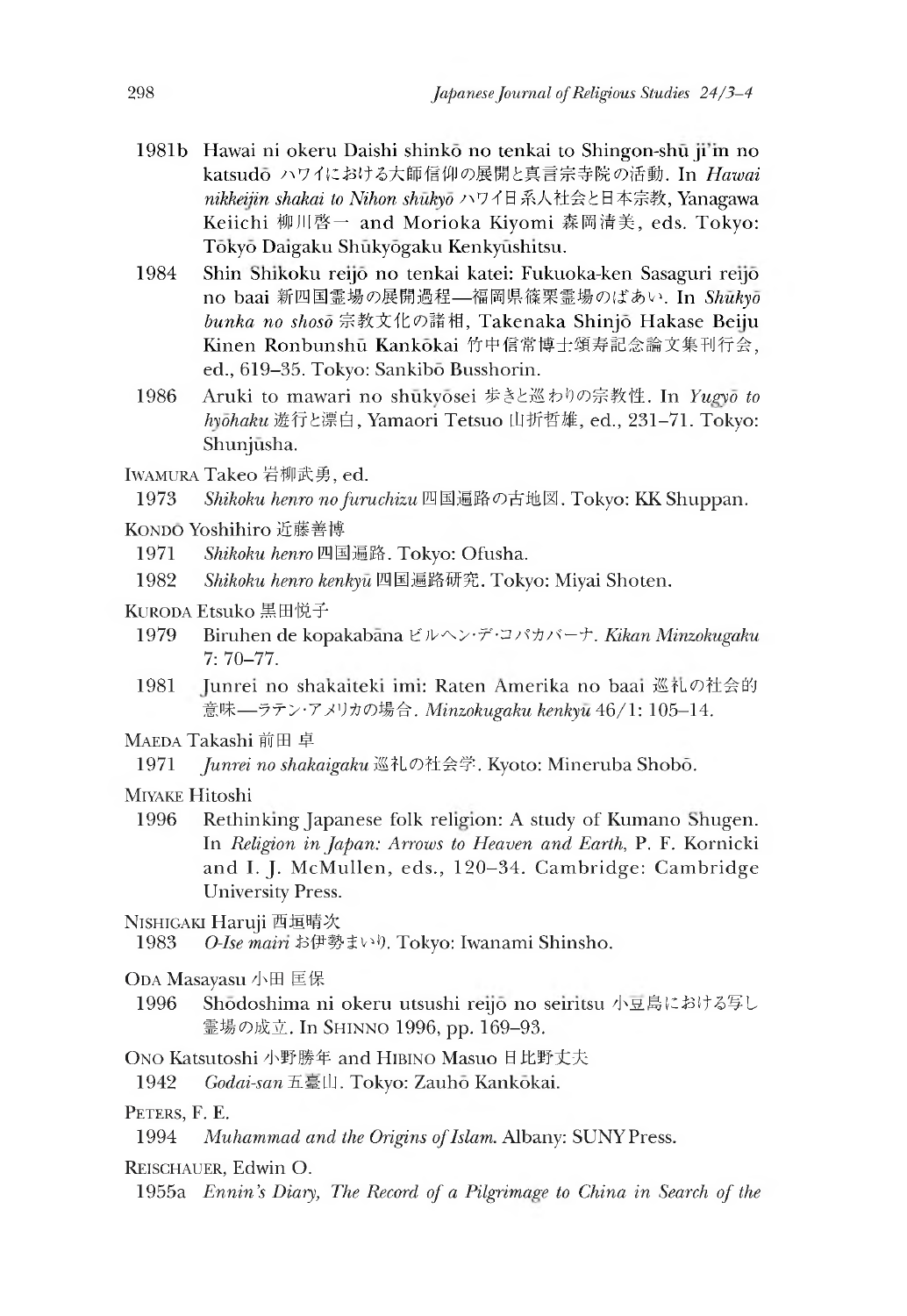- 1981b Hawai ni okeru Daishi shinkō no tenkai to Shingon-shū ji'in no katsudoハワイにおける大師信仰の展開 言宗寺院の活動. In *Hawai* nikkeijin shakai to Nihon shūkyō ハワイ日系人社会と日本宗教, Yanagawa Keiichi 柳川啓一 and Morioka Kiyomi 森岡清美, eds. Tokyo: Tōkyō Daigaku Shūkyōgaku Kenkyūshitsu.
- 1984 Shin Shikoku reijō no tenkai katei: Fukuoka-ken Sasaguri reijō no baai 新四国霊場の展開過程—福岡県篠栗霊場のばあい. In Shukyo *bunka no shoso* 宗教文化の諸相,Takenaka Shinjo Hakase Beiiu Kinen Ronbunshū Kankōkai 竹中信常博士頌寿記念論文集刊行会, ed., 619-35. Tokyo: Sankibo Busshorin.
- 1986 Aruki to mawari no shūkyōsei 歩きと巡わりの宗教性. In *Yugyō to* hyōhaku 遊行と漂白, Yamaori Tetsuo 山折哲雄, ed., 231-71. Tokyo: Shunjūsha.
- Iwamura Takeo 岩柳武勇,ed.
- 1973 *Shikoku henro no furuchizu* 四国遍路の古地図. Tokyo: KK Shuppan.
- KONDO Yoshihiro 近藤善博
	- 1971 *Shikoku henro* 四国遍路. Tokyo: Ofusha.
	- 1982 *Shikoku henro kenkyu* 四国遍路研究. Tokyo: Miyai Shoten.
- KURODA Etsuko黒田悦子
	- 1979 Biruhen de kopakabana ビルヘン• •コパカバー *. Kikan Minzokugaku* 7: 70-77.
- 1981 Junrei no shakaiteki imi: Raten Amerika no baai 巡礼の社会的 意味 ラテン•アメリ力の場 *. Minzokugaku kenkyu* 46/1: 105-14.
- Maeda Takashi 前田卓
- 1971 *Junrei no shakaigaku* 巡礼の 会学. Kyoto: Mineruba Shobo.
- Miyake Hitoshi
- 1996 Rethinking Japanese folk religion: A study of Kumano Shugen. In *Religion in Japan: Arrows to Heaven and Earth,* P. F. Kornicki and I. J. McMullen, eds., 120-34. Cambridge: Cambridge University Press.
- Nishigaki Haruji 西垣睛次
- 1983 *O-Ise main* お伊勢まいり. Tokyo: Iwanami Shinsho.
- ODA Masayasu 小田 匡保
- 1996 Shōdoshima ni okeru utsushi reijō no seiritsu 小豆島における写し 霊場の成立. In SHINNO 1996, pp. 169-93.
- Ono Katsutoshi 小野勝年 and HIBINO Masuo 日比野丈夫
- 1942 *Godai-san* 五臺山. Tokyo: Zauhō Kankōkai.
- Peters, F. E.
- 1994 *Muhammad and the Origins of Islam.* Albany: SUNY Press.
- Reischauer, Edwin O.
- 1955a *Ennin,s Diary, The Record of a Pilgrimage to China in Search of the*